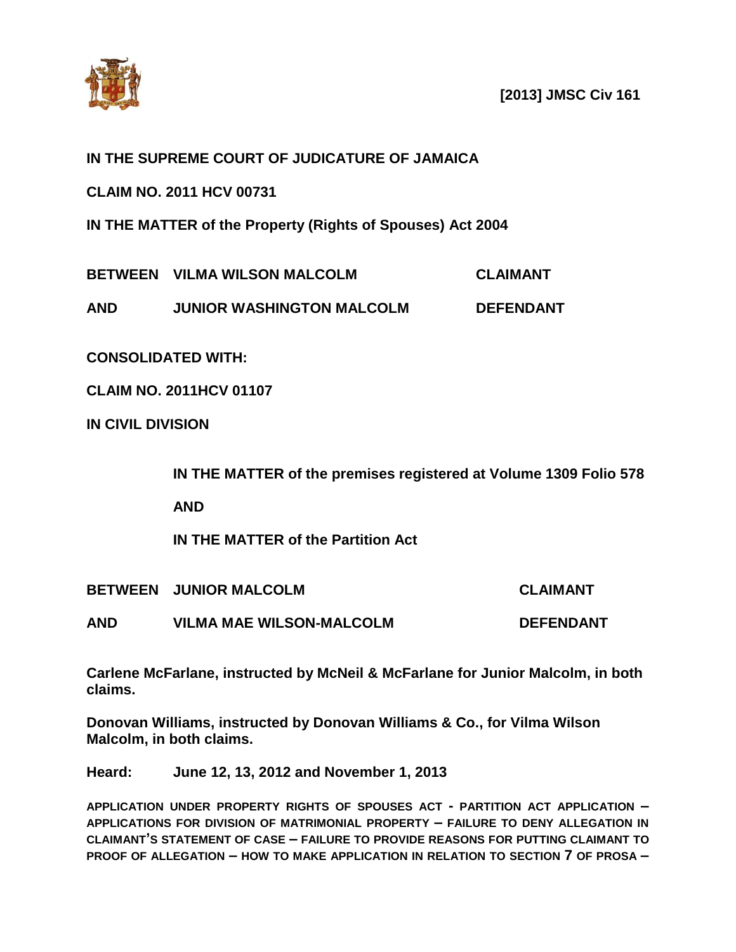

**[2013] JMSC Civ 161**

## **IN THE SUPREME COURT OF JUDICATURE OF JAMAICA**

**CLAIM NO. 2011 HCV 00731**

**IN THE MATTER of the Property (Rights of Spouses) Act 2004**

**BETWEEN VILMA WILSON MALCOLM CLAIMANT**

**AND JUNIOR WASHINGTON MALCOLM DEFENDANT**

**CONSOLIDATED WITH:**

**CLAIM NO. 2011HCV 01107**

**IN CIVIL DIVISION**

**IN THE MATTER of the premises registered at Volume 1309 Folio 578**

**AND**

**IN THE MATTER of the Partition Act**

**BETWEEN JUNIOR MALCOLM CLAIMANT**

**AND VILMA MAE WILSON-MALCOLM DEFENDANT**

**Carlene McFarlane, instructed by McNeil & McFarlane for Junior Malcolm, in both claims.**

**Donovan Williams, instructed by Donovan Williams & Co., for Vilma Wilson Malcolm, in both claims.**

**Heard: June 12, 13, 2012 and November 1, 2013**

**APPLICATION UNDER PROPERTY RIGHTS OF SPOUSES ACT - PARTITION ACT APPLICATION – APPLICATIONS FOR DIVISION OF MATRIMONIAL PROPERTY – FAILURE TO DENY ALLEGATION IN CLAIMANT'S STATEMENT OF CASE – FAILURE TO PROVIDE REASONS FOR PUTTING CLAIMANT TO PROOF OF ALLEGATION – HOW TO MAKE APPLICATION IN RELATION TO SECTION 7 OF PROSA –**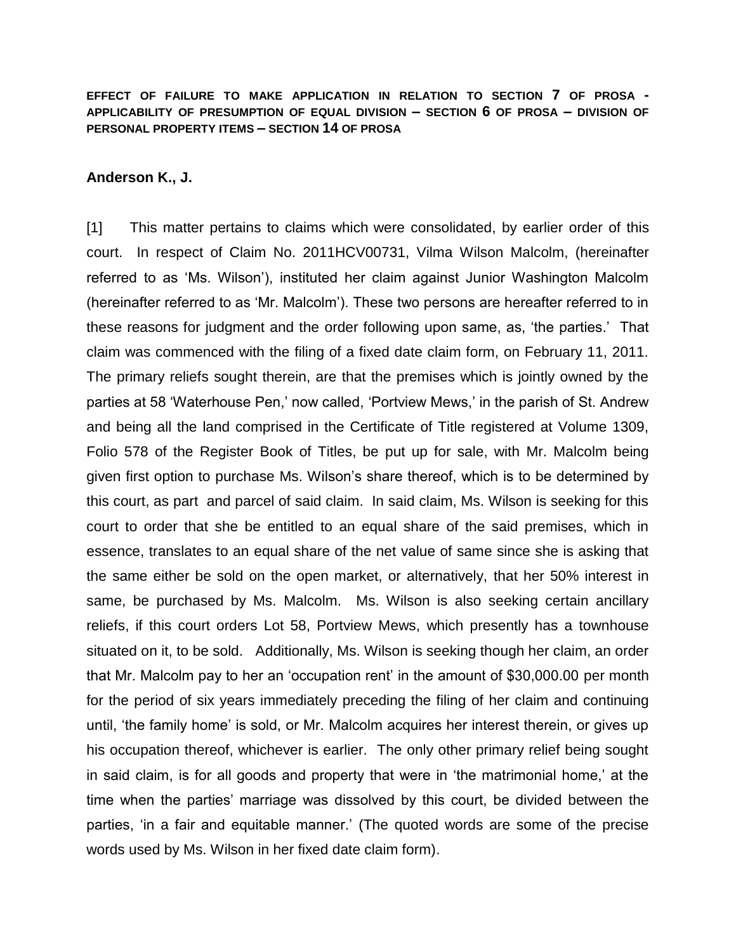**EFFECT OF FAILURE TO MAKE APPLICATION IN RELATION TO SECTION 7 OF PROSA - APPLICABILITY OF PRESUMPTION OF EQUAL DIVISION – SECTION 6 OF PROSA – DIVISION OF PERSONAL PROPERTY ITEMS – SECTION 14 OF PROSA**

## **Anderson K., J.**

[1] This matter pertains to claims which were consolidated, by earlier order of this court. In respect of Claim No. 2011HCV00731, Vilma Wilson Malcolm, (hereinafter referred to as 'Ms. Wilson'), instituted her claim against Junior Washington Malcolm (hereinafter referred to as 'Mr. Malcolm'). These two persons are hereafter referred to in these reasons for judgment and the order following upon same, as, 'the parties.' That claim was commenced with the filing of a fixed date claim form, on February 11, 2011. The primary reliefs sought therein, are that the premises which is jointly owned by the parties at 58 'Waterhouse Pen,' now called, 'Portview Mews,' in the parish of St. Andrew and being all the land comprised in the Certificate of Title registered at Volume 1309, Folio 578 of the Register Book of Titles, be put up for sale, with Mr. Malcolm being given first option to purchase Ms. Wilson's share thereof, which is to be determined by this court, as part and parcel of said claim. In said claim, Ms. Wilson is seeking for this court to order that she be entitled to an equal share of the said premises, which in essence, translates to an equal share of the net value of same since she is asking that the same either be sold on the open market, or alternatively, that her 50% interest in same, be purchased by Ms. Malcolm. Ms. Wilson is also seeking certain ancillary reliefs, if this court orders Lot 58, Portview Mews, which presently has a townhouse situated on it, to be sold. Additionally, Ms. Wilson is seeking though her claim, an order that Mr. Malcolm pay to her an 'occupation rent' in the amount of \$30,000.00 per month for the period of six years immediately preceding the filing of her claim and continuing until, 'the family home' is sold, or Mr. Malcolm acquires her interest therein, or gives up his occupation thereof, whichever is earlier. The only other primary relief being sought in said claim, is for all goods and property that were in 'the matrimonial home,' at the time when the parties' marriage was dissolved by this court, be divided between the parties, 'in a fair and equitable manner.' (The quoted words are some of the precise words used by Ms. Wilson in her fixed date claim form).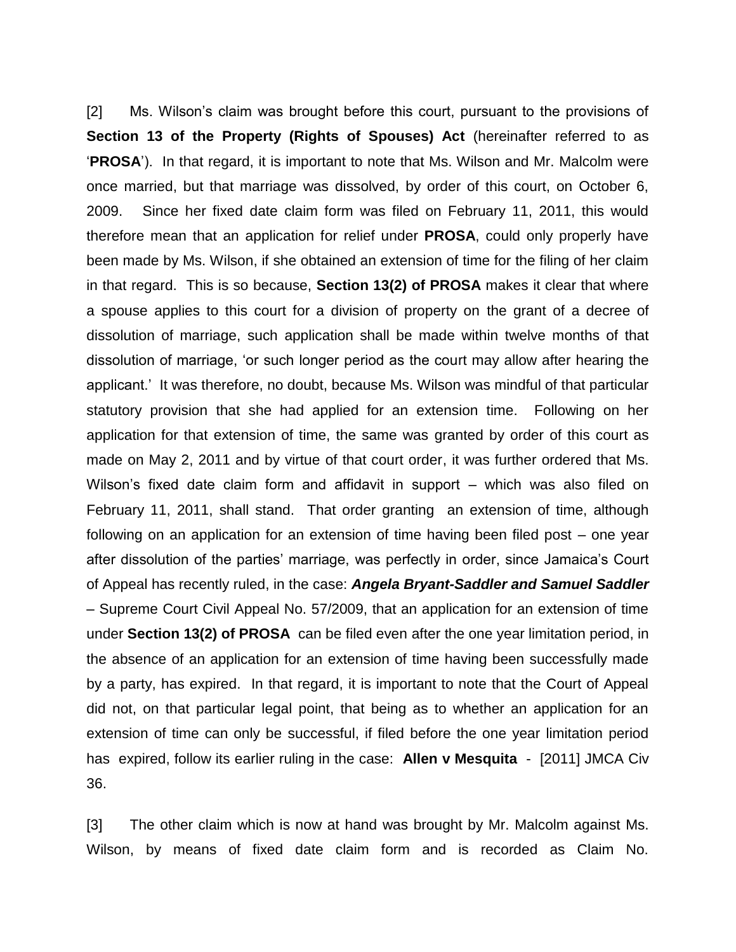[2] Ms. Wilson's claim was brought before this court, pursuant to the provisions of **Section 13 of the Property (Rights of Spouses) Act** (hereinafter referred to as '**PROSA**'). In that regard, it is important to note that Ms. Wilson and Mr. Malcolm were once married, but that marriage was dissolved, by order of this court, on October 6, 2009. Since her fixed date claim form was filed on February 11, 2011, this would therefore mean that an application for relief under **PROSA**, could only properly have been made by Ms. Wilson, if she obtained an extension of time for the filing of her claim in that regard. This is so because, **Section 13(2) of PROSA** makes it clear that where a spouse applies to this court for a division of property on the grant of a decree of dissolution of marriage, such application shall be made within twelve months of that dissolution of marriage, 'or such longer period as the court may allow after hearing the applicant.' It was therefore, no doubt, because Ms. Wilson was mindful of that particular statutory provision that she had applied for an extension time. Following on her application for that extension of time, the same was granted by order of this court as made on May 2, 2011 and by virtue of that court order, it was further ordered that Ms. Wilson's fixed date claim form and affidavit in support – which was also filed on February 11, 2011, shall stand. That order granting an extension of time, although following on an application for an extension of time having been filed post – one year after dissolution of the parties' marriage, was perfectly in order, since Jamaica's Court of Appeal has recently ruled, in the case: *Angela Bryant-Saddler and Samuel Saddler* – Supreme Court Civil Appeal No. 57/2009, that an application for an extension of time under **Section 13(2) of PROSA** can be filed even after the one year limitation period, in the absence of an application for an extension of time having been successfully made by a party, has expired. In that regard, it is important to note that the Court of Appeal did not, on that particular legal point, that being as to whether an application for an extension of time can only be successful, if filed before the one year limitation period has expired, follow its earlier ruling in the case: **Allen v Mesquita** - [2011] JMCA Civ 36.

[3] The other claim which is now at hand was brought by Mr. Malcolm against Ms. Wilson, by means of fixed date claim form and is recorded as Claim No.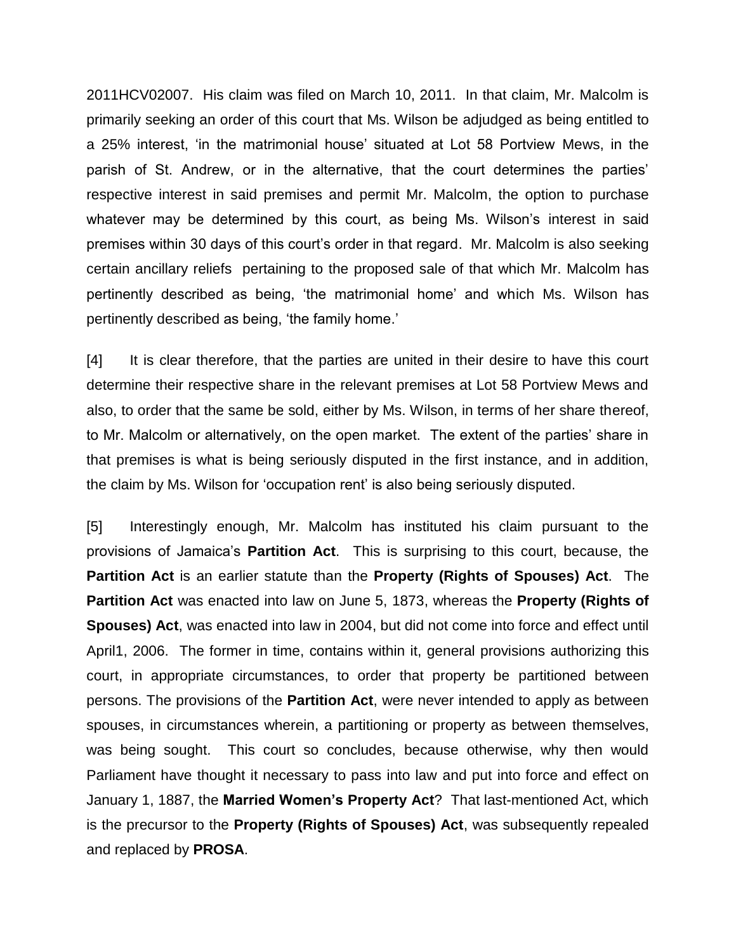2011HCV02007. His claim was filed on March 10, 2011. In that claim, Mr. Malcolm is primarily seeking an order of this court that Ms. Wilson be adjudged as being entitled to a 25% interest, 'in the matrimonial house' situated at Lot 58 Portview Mews, in the parish of St. Andrew, or in the alternative, that the court determines the parties' respective interest in said premises and permit Mr. Malcolm, the option to purchase whatever may be determined by this court, as being Ms. Wilson's interest in said premises within 30 days of this court's order in that regard. Mr. Malcolm is also seeking certain ancillary reliefs pertaining to the proposed sale of that which Mr. Malcolm has pertinently described as being, 'the matrimonial home' and which Ms. Wilson has pertinently described as being, 'the family home.'

[4] It is clear therefore, that the parties are united in their desire to have this court determine their respective share in the relevant premises at Lot 58 Portview Mews and also, to order that the same be sold, either by Ms. Wilson, in terms of her share thereof, to Mr. Malcolm or alternatively, on the open market. The extent of the parties' share in that premises is what is being seriously disputed in the first instance, and in addition, the claim by Ms. Wilson for 'occupation rent' is also being seriously disputed.

[5] Interestingly enough, Mr. Malcolm has instituted his claim pursuant to the provisions of Jamaica's **Partition Act**. This is surprising to this court, because, the **Partition Act** is an earlier statute than the **Property (Rights of Spouses) Act**. The **Partition Act** was enacted into law on June 5, 1873, whereas the **Property (Rights of Spouses) Act**, was enacted into law in 2004, but did not come into force and effect until April1, 2006. The former in time, contains within it, general provisions authorizing this court, in appropriate circumstances, to order that property be partitioned between persons. The provisions of the **Partition Act**, were never intended to apply as between spouses, in circumstances wherein, a partitioning or property as between themselves, was being sought. This court so concludes, because otherwise, why then would Parliament have thought it necessary to pass into law and put into force and effect on January 1, 1887, the **Married Women's Property Act**? That last-mentioned Act, which is the precursor to the **Property (Rights of Spouses) Act**, was subsequently repealed and replaced by **PROSA**.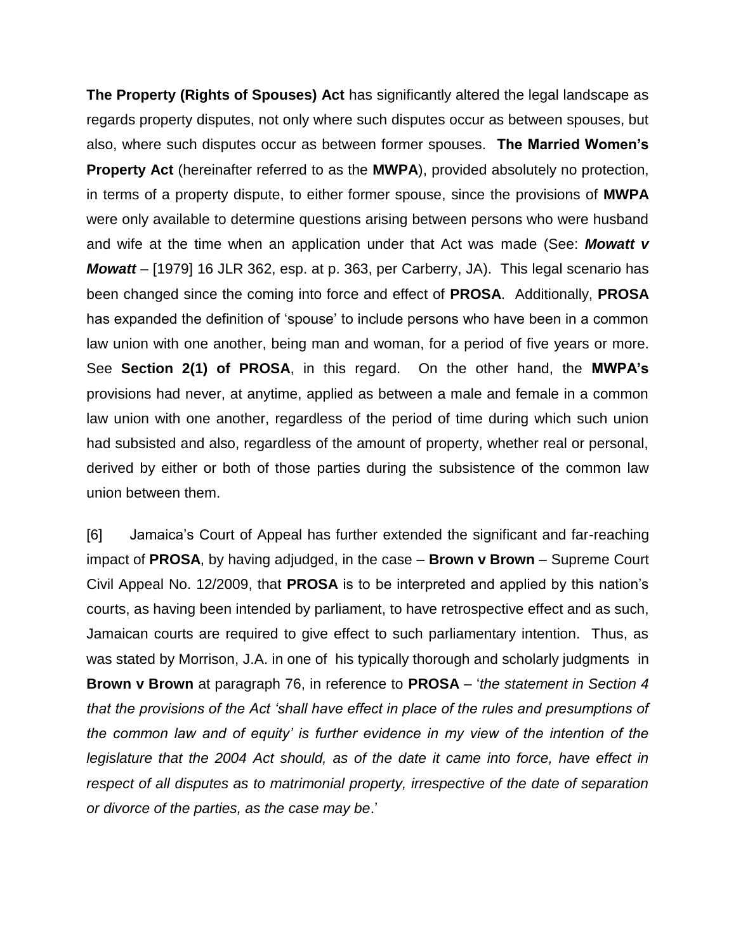**The Property (Rights of Spouses) Act** has significantly altered the legal landscape as regards property disputes, not only where such disputes occur as between spouses, but also, where such disputes occur as between former spouses. **The Married Women's Property Act** (hereinafter referred to as the **MWPA**), provided absolutely no protection, in terms of a property dispute, to either former spouse, since the provisions of **MWPA** were only available to determine questions arising between persons who were husband and wife at the time when an application under that Act was made (See: *Mowatt v Mowatt* – [1979] 16 JLR 362, esp. at p. 363, per Carberry, JA). This legal scenario has been changed since the coming into force and effect of **PROSA**. Additionally, **PROSA** has expanded the definition of 'spouse' to include persons who have been in a common law union with one another, being man and woman, for a period of five years or more. See **Section 2(1) of PROSA**, in this regard. On the other hand, the **MWPA's** provisions had never, at anytime, applied as between a male and female in a common law union with one another, regardless of the period of time during which such union had subsisted and also, regardless of the amount of property, whether real or personal, derived by either or both of those parties during the subsistence of the common law union between them.

[6] Jamaica's Court of Appeal has further extended the significant and far-reaching impact of **PROSA**, by having adjudged, in the case – **Brown v Brown** – Supreme Court Civil Appeal No. 12/2009, that **PROSA** is to be interpreted and applied by this nation's courts, as having been intended by parliament, to have retrospective effect and as such, Jamaican courts are required to give effect to such parliamentary intention. Thus, as was stated by Morrison, J.A. in one of his typically thorough and scholarly judgments in **Brown v Brown** at paragraph 76, in reference to **PROSA** – '*the statement in Section 4 that the provisions of the Act 'shall have effect in place of the rules and presumptions of the common law and of equity' is further evidence in my view of the intention of the legislature that the 2004 Act should, as of the date it came into force, have effect in respect of all disputes as to matrimonial property, irrespective of the date of separation or divorce of the parties, as the case may be*.'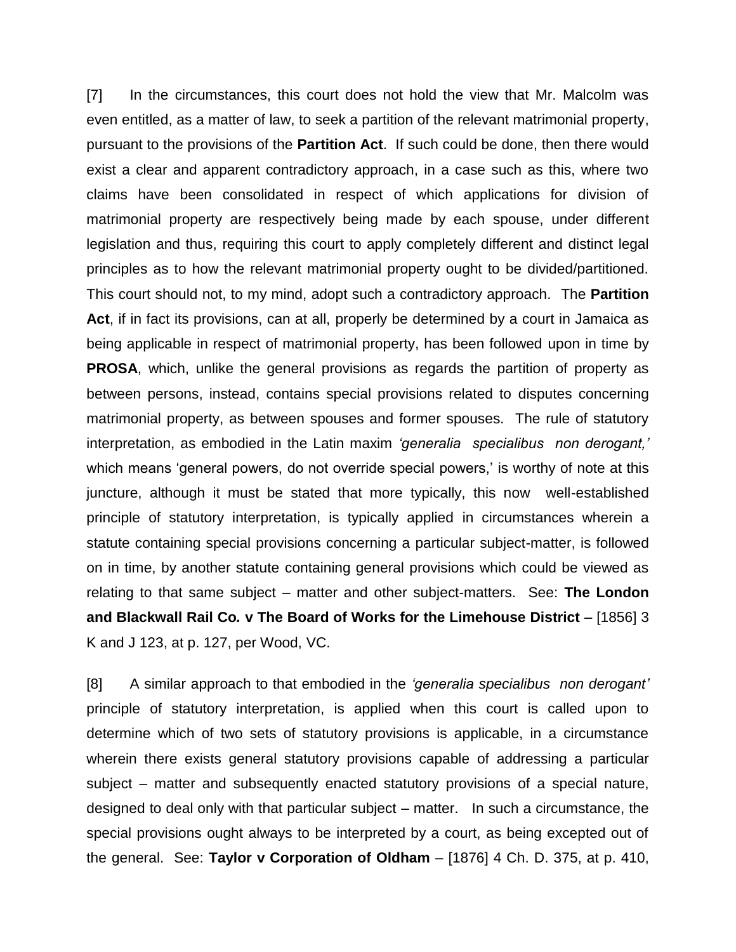[7] In the circumstances, this court does not hold the view that Mr. Malcolm was even entitled, as a matter of law, to seek a partition of the relevant matrimonial property, pursuant to the provisions of the **Partition Act**. If such could be done, then there would exist a clear and apparent contradictory approach, in a case such as this, where two claims have been consolidated in respect of which applications for division of matrimonial property are respectively being made by each spouse, under different legislation and thus, requiring this court to apply completely different and distinct legal principles as to how the relevant matrimonial property ought to be divided/partitioned. This court should not, to my mind, adopt such a contradictory approach. The **Partition Act**, if in fact its provisions, can at all, properly be determined by a court in Jamaica as being applicable in respect of matrimonial property, has been followed upon in time by **PROSA**, which, unlike the general provisions as regards the partition of property as between persons, instead, contains special provisions related to disputes concerning matrimonial property, as between spouses and former spouses. The rule of statutory interpretation, as embodied in the Latin maxim *'generalia specialibus non derogant,'* which means 'general powers, do not override special powers,' is worthy of note at this juncture, although it must be stated that more typically, this now well-established principle of statutory interpretation, is typically applied in circumstances wherein a statute containing special provisions concerning a particular subject-matter, is followed on in time, by another statute containing general provisions which could be viewed as relating to that same subject – matter and other subject-matters. See: **The London and Blackwall Rail Co***.* **v The Board of Works for the Limehouse District** – [1856] 3 K and J 123, at p. 127, per Wood, VC.

[8] A similar approach to that embodied in the *'generalia specialibus non derogant'* principle of statutory interpretation, is applied when this court is called upon to determine which of two sets of statutory provisions is applicable, in a circumstance wherein there exists general statutory provisions capable of addressing a particular subject – matter and subsequently enacted statutory provisions of a special nature, designed to deal only with that particular subject – matter. In such a circumstance, the special provisions ought always to be interpreted by a court, as being excepted out of the general. See: **Taylor v Corporation of Oldham** – [1876] 4 Ch. D. 375, at p. 410,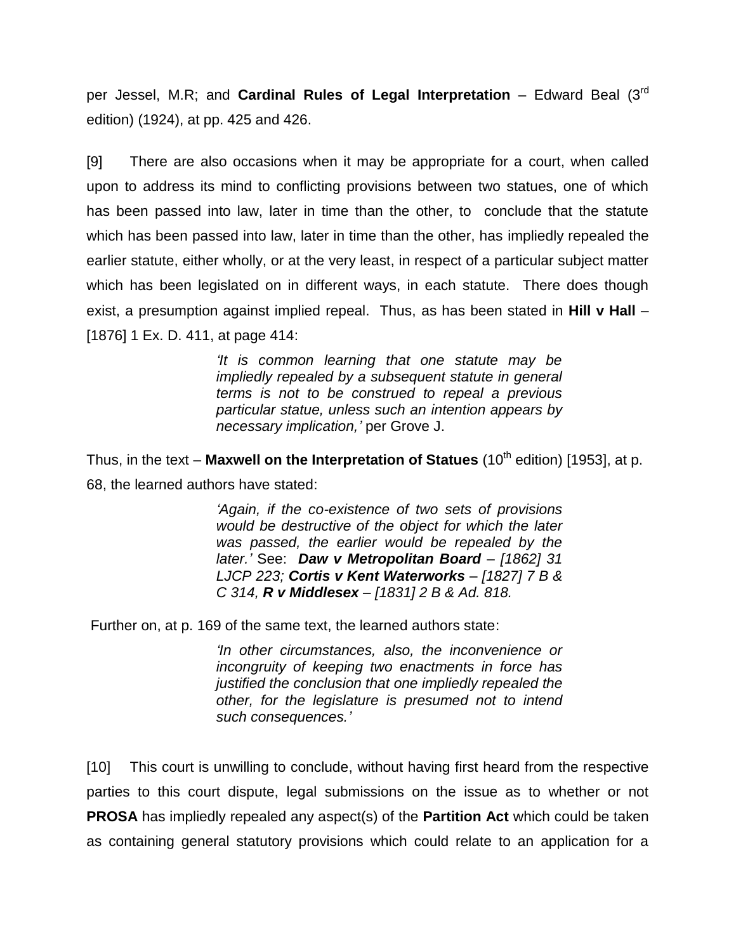per Jessel, M.R; and **Cardinal Rules of Legal Interpretation** – Edward Beal (3rd edition) (1924), at pp. 425 and 426.

[9] There are also occasions when it may be appropriate for a court, when called upon to address its mind to conflicting provisions between two statues, one of which has been passed into law, later in time than the other, to conclude that the statute which has been passed into law, later in time than the other, has impliedly repealed the earlier statute, either wholly, or at the very least, in respect of a particular subject matter which has been legislated on in different ways, in each statute. There does though exist, a presumption against implied repeal. Thus, as has been stated in **Hill v Hall** – [1876] 1 Ex. D. 411, at page 414:

> *'It is common learning that one statute may be impliedly repealed by a subsequent statute in general terms is not to be construed to repeal a previous particular statue, unless such an intention appears by necessary implication,'* per Grove J.

Thus, in the text – Maxwell on the Interpretation of Statues (10<sup>th</sup> edition) [1953], at p. 68, the learned authors have stated:

> *'Again, if the co-existence of two sets of provisions would be destructive of the object for which the later was passed, the earlier would be repealed by the later.'* See: *Daw v Metropolitan Board – [1862] 31 LJCP 223; Cortis v Kent Waterworks – [1827] 7 B & C 314, R v Middlesex – [1831] 2 B & Ad. 818.*

Further on, at p. 169 of the same text, the learned authors state:

*'In other circumstances, also, the inconvenience or incongruity of keeping two enactments in force has justified the conclusion that one impliedly repealed the other, for the legislature is presumed not to intend such consequences.'*

[10] This court is unwilling to conclude, without having first heard from the respective parties to this court dispute, legal submissions on the issue as to whether or not **PROSA** has impliedly repealed any aspect(s) of the **Partition Act** which could be taken as containing general statutory provisions which could relate to an application for a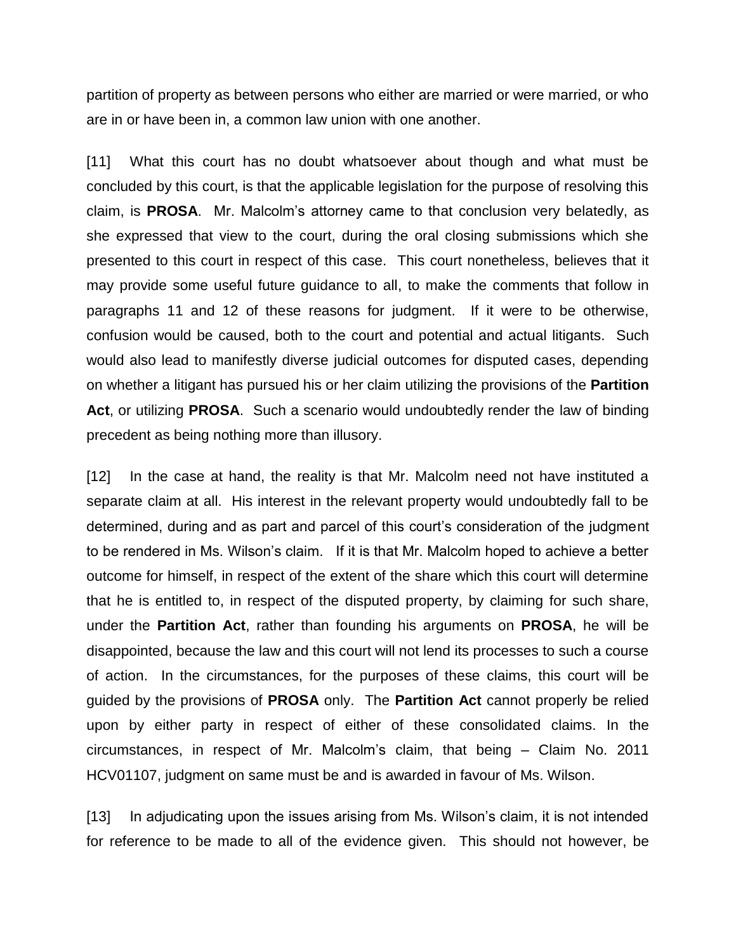partition of property as between persons who either are married or were married, or who are in or have been in, a common law union with one another.

[11] What this court has no doubt whatsoever about though and what must be concluded by this court, is that the applicable legislation for the purpose of resolving this claim, is **PROSA**. Mr. Malcolm's attorney came to that conclusion very belatedly, as she expressed that view to the court, during the oral closing submissions which she presented to this court in respect of this case. This court nonetheless, believes that it may provide some useful future guidance to all, to make the comments that follow in paragraphs 11 and 12 of these reasons for judgment. If it were to be otherwise, confusion would be caused, both to the court and potential and actual litigants. Such would also lead to manifestly diverse judicial outcomes for disputed cases, depending on whether a litigant has pursued his or her claim utilizing the provisions of the **Partition Act**, or utilizing **PROSA**. Such a scenario would undoubtedly render the law of binding precedent as being nothing more than illusory.

[12] In the case at hand, the reality is that Mr. Malcolm need not have instituted a separate claim at all. His interest in the relevant property would undoubtedly fall to be determined, during and as part and parcel of this court's consideration of the judgment to be rendered in Ms. Wilson's claim. If it is that Mr. Malcolm hoped to achieve a better outcome for himself, in respect of the extent of the share which this court will determine that he is entitled to, in respect of the disputed property, by claiming for such share, under the **Partition Act**, rather than founding his arguments on **PROSA**, he will be disappointed, because the law and this court will not lend its processes to such a course of action. In the circumstances, for the purposes of these claims, this court will be guided by the provisions of **PROSA** only. The **Partition Act** cannot properly be relied upon by either party in respect of either of these consolidated claims. In the circumstances, in respect of Mr. Malcolm's claim, that being – Claim No. 2011 HCV01107, judgment on same must be and is awarded in favour of Ms. Wilson.

[13] In adjudicating upon the issues arising from Ms. Wilson's claim, it is not intended for reference to be made to all of the evidence given. This should not however, be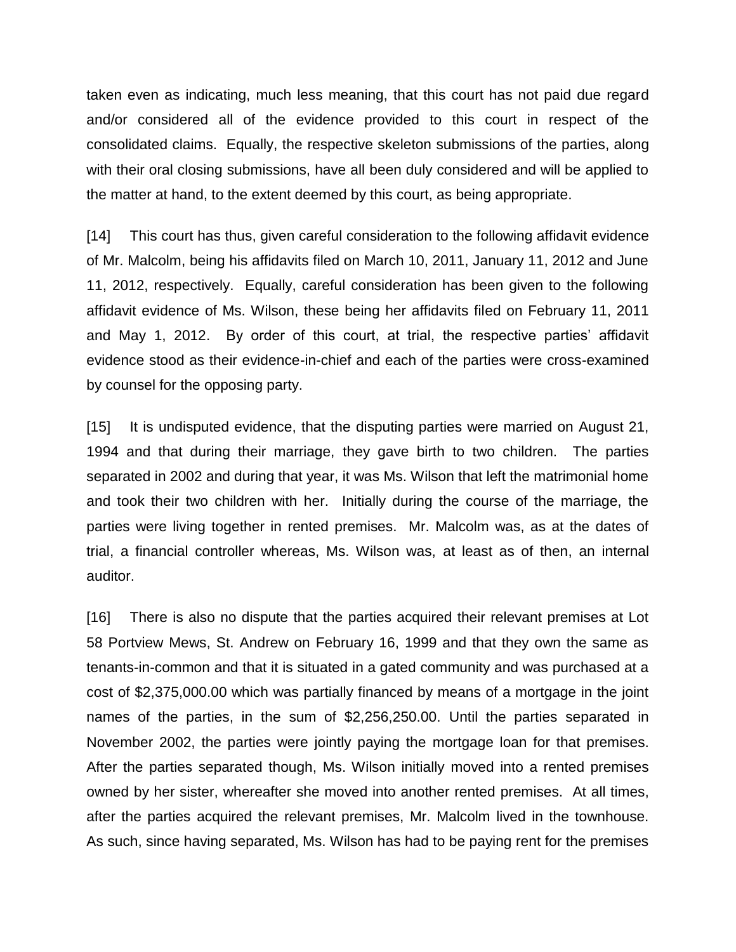taken even as indicating, much less meaning, that this court has not paid due regard and/or considered all of the evidence provided to this court in respect of the consolidated claims. Equally, the respective skeleton submissions of the parties, along with their oral closing submissions, have all been duly considered and will be applied to the matter at hand, to the extent deemed by this court, as being appropriate.

[14] This court has thus, given careful consideration to the following affidavit evidence of Mr. Malcolm, being his affidavits filed on March 10, 2011, January 11, 2012 and June 11, 2012, respectively. Equally, careful consideration has been given to the following affidavit evidence of Ms. Wilson, these being her affidavits filed on February 11, 2011 and May 1, 2012. By order of this court, at trial, the respective parties' affidavit evidence stood as their evidence-in-chief and each of the parties were cross-examined by counsel for the opposing party.

[15] It is undisputed evidence, that the disputing parties were married on August 21, 1994 and that during their marriage, they gave birth to two children. The parties separated in 2002 and during that year, it was Ms. Wilson that left the matrimonial home and took their two children with her. Initially during the course of the marriage, the parties were living together in rented premises. Mr. Malcolm was, as at the dates of trial, a financial controller whereas, Ms. Wilson was, at least as of then, an internal auditor.

[16] There is also no dispute that the parties acquired their relevant premises at Lot 58 Portview Mews, St. Andrew on February 16, 1999 and that they own the same as tenants-in-common and that it is situated in a gated community and was purchased at a cost of \$2,375,000.00 which was partially financed by means of a mortgage in the joint names of the parties, in the sum of \$2,256,250.00. Until the parties separated in November 2002, the parties were jointly paying the mortgage loan for that premises. After the parties separated though, Ms. Wilson initially moved into a rented premises owned by her sister, whereafter she moved into another rented premises. At all times, after the parties acquired the relevant premises, Mr. Malcolm lived in the townhouse. As such, since having separated, Ms. Wilson has had to be paying rent for the premises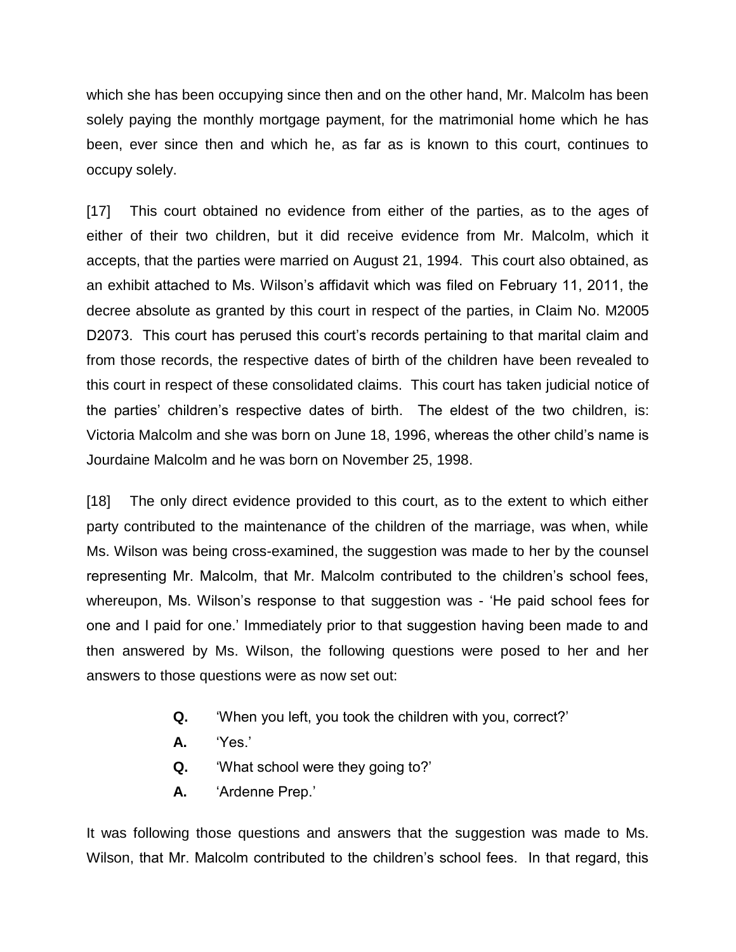which she has been occupying since then and on the other hand, Mr. Malcolm has been solely paying the monthly mortgage payment, for the matrimonial home which he has been, ever since then and which he, as far as is known to this court, continues to occupy solely.

[17] This court obtained no evidence from either of the parties, as to the ages of either of their two children, but it did receive evidence from Mr. Malcolm, which it accepts, that the parties were married on August 21, 1994. This court also obtained, as an exhibit attached to Ms. Wilson's affidavit which was filed on February 11, 2011, the decree absolute as granted by this court in respect of the parties, in Claim No. M2005 D2073. This court has perused this court's records pertaining to that marital claim and from those records, the respective dates of birth of the children have been revealed to this court in respect of these consolidated claims. This court has taken judicial notice of the parties' children's respective dates of birth. The eldest of the two children, is: Victoria Malcolm and she was born on June 18, 1996, whereas the other child's name is Jourdaine Malcolm and he was born on November 25, 1998.

[18] The only direct evidence provided to this court, as to the extent to which either party contributed to the maintenance of the children of the marriage, was when, while Ms. Wilson was being cross-examined, the suggestion was made to her by the counsel representing Mr. Malcolm, that Mr. Malcolm contributed to the children's school fees, whereupon, Ms. Wilson's response to that suggestion was - 'He paid school fees for one and I paid for one.' Immediately prior to that suggestion having been made to and then answered by Ms. Wilson, the following questions were posed to her and her answers to those questions were as now set out:

- **Q.** 'When you left, you took the children with you, correct?'
- **A.** 'Yes.'
- **Q.** 'What school were they going to?'
- **A.** 'Ardenne Prep.'

It was following those questions and answers that the suggestion was made to Ms. Wilson, that Mr. Malcolm contributed to the children's school fees. In that regard, this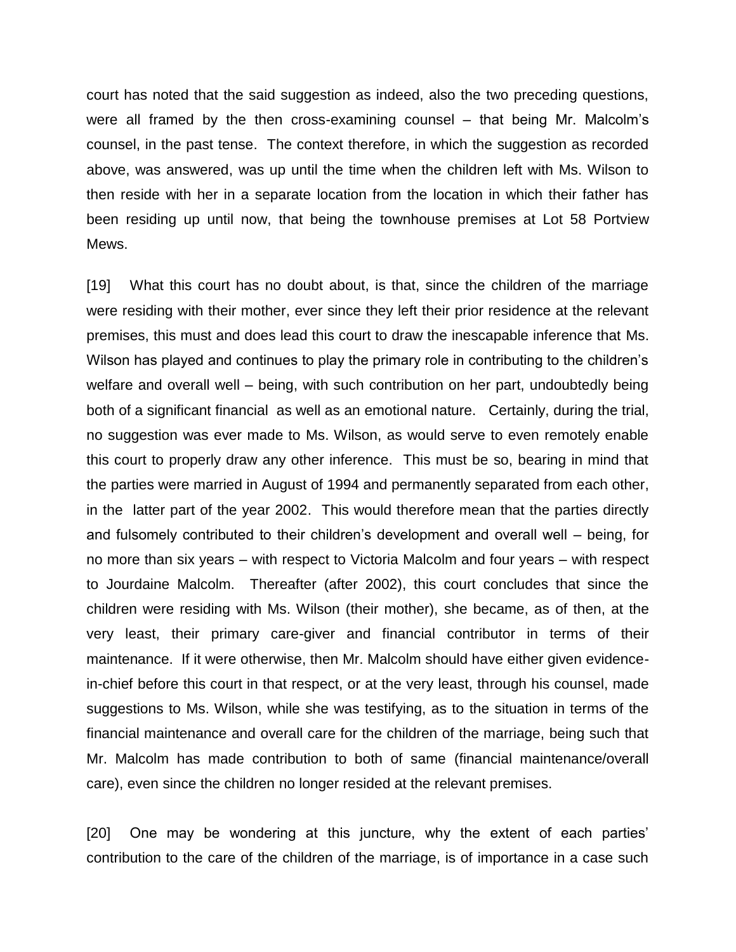court has noted that the said suggestion as indeed, also the two preceding questions, were all framed by the then cross-examining counsel – that being Mr. Malcolm's counsel, in the past tense. The context therefore, in which the suggestion as recorded above, was answered, was up until the time when the children left with Ms. Wilson to then reside with her in a separate location from the location in which their father has been residing up until now, that being the townhouse premises at Lot 58 Portview Mews.

[19] What this court has no doubt about, is that, since the children of the marriage were residing with their mother, ever since they left their prior residence at the relevant premises, this must and does lead this court to draw the inescapable inference that Ms. Wilson has played and continues to play the primary role in contributing to the children's welfare and overall well – being, with such contribution on her part, undoubtedly being both of a significant financial as well as an emotional nature. Certainly, during the trial, no suggestion was ever made to Ms. Wilson, as would serve to even remotely enable this court to properly draw any other inference. This must be so, bearing in mind that the parties were married in August of 1994 and permanently separated from each other, in the latter part of the year 2002. This would therefore mean that the parties directly and fulsomely contributed to their children's development and overall well – being, for no more than six years – with respect to Victoria Malcolm and four years – with respect to Jourdaine Malcolm. Thereafter (after 2002), this court concludes that since the children were residing with Ms. Wilson (their mother), she became, as of then, at the very least, their primary care-giver and financial contributor in terms of their maintenance. If it were otherwise, then Mr. Malcolm should have either given evidencein-chief before this court in that respect, or at the very least, through his counsel, made suggestions to Ms. Wilson, while she was testifying, as to the situation in terms of the financial maintenance and overall care for the children of the marriage, being such that Mr. Malcolm has made contribution to both of same (financial maintenance/overall care), even since the children no longer resided at the relevant premises.

[20] One may be wondering at this juncture, why the extent of each parties' contribution to the care of the children of the marriage, is of importance in a case such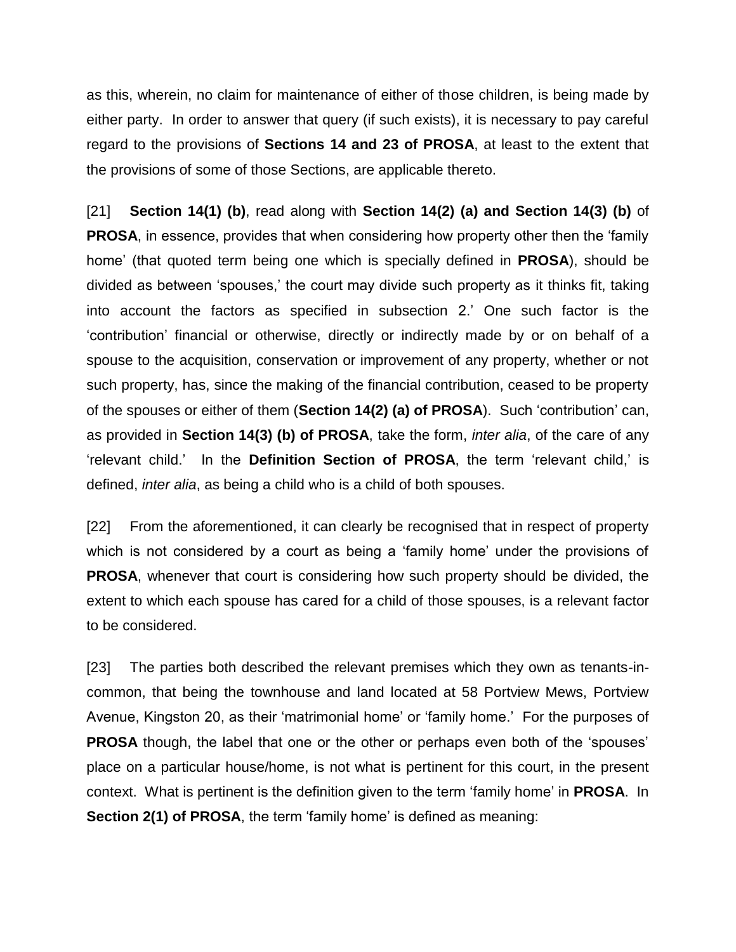as this, wherein, no claim for maintenance of either of those children, is being made by either party. In order to answer that query (if such exists), it is necessary to pay careful regard to the provisions of **Sections 14 and 23 of PROSA**, at least to the extent that the provisions of some of those Sections, are applicable thereto.

[21] **Section 14(1) (b)**, read along with **Section 14(2) (a) and Section 14(3) (b)** of **PROSA**, in essence, provides that when considering how property other then the 'family home' (that quoted term being one which is specially defined in **PROSA**), should be divided as between 'spouses,' the court may divide such property as it thinks fit, taking into account the factors as specified in subsection 2.' One such factor is the 'contribution' financial or otherwise, directly or indirectly made by or on behalf of a spouse to the acquisition, conservation or improvement of any property, whether or not such property, has, since the making of the financial contribution, ceased to be property of the spouses or either of them (**Section 14(2) (a) of PROSA**). Such 'contribution' can, as provided in **Section 14(3) (b) of PROSA**, take the form, *inter alia*, of the care of any 'relevant child.' In the **Definition Section of PROSA**, the term 'relevant child,' is defined, *inter alia*, as being a child who is a child of both spouses.

[22] From the aforementioned, it can clearly be recognised that in respect of property which is not considered by a court as being a 'family home' under the provisions of **PROSA**, whenever that court is considering how such property should be divided, the extent to which each spouse has cared for a child of those spouses, is a relevant factor to be considered.

[23] The parties both described the relevant premises which they own as tenants-incommon, that being the townhouse and land located at 58 Portview Mews, Portview Avenue, Kingston 20, as their 'matrimonial home' or 'family home.' For the purposes of **PROSA** though, the label that one or the other or perhaps even both of the 'spouses' place on a particular house/home, is not what is pertinent for this court, in the present context. What is pertinent is the definition given to the term 'family home' in **PROSA**. In **Section 2(1) of PROSA**, the term 'family home' is defined as meaning: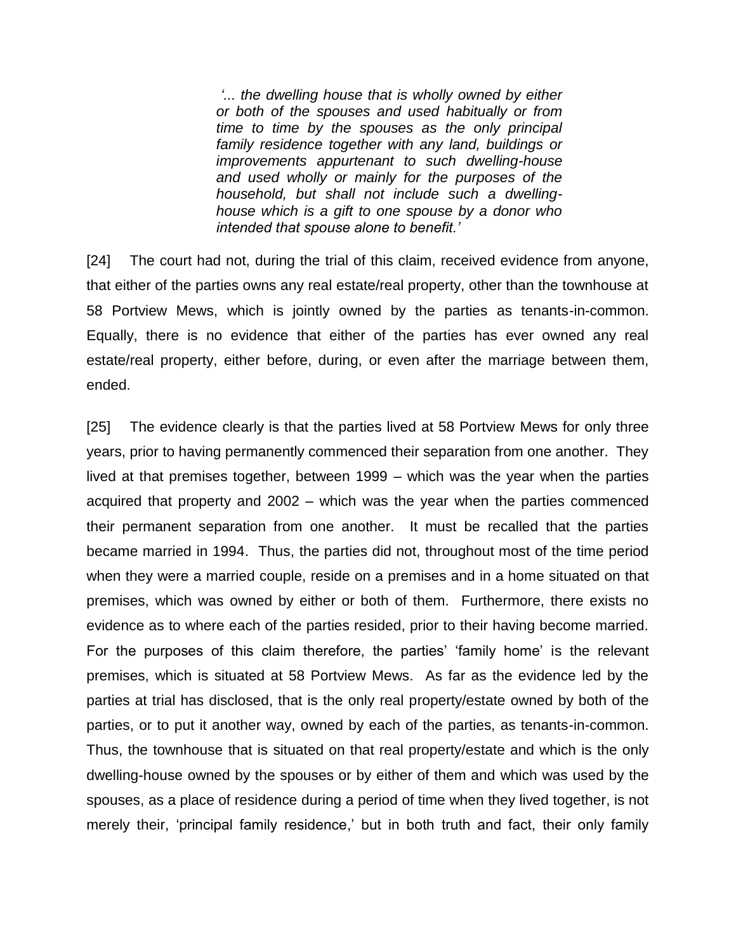*'... the dwelling house that is wholly owned by either or both of the spouses and used habitually or from time to time by the spouses as the only principal family residence together with any land, buildings or improvements appurtenant to such dwelling-house and used wholly or mainly for the purposes of the household, but shall not include such a dwellinghouse which is a gift to one spouse by a donor who intended that spouse alone to benefit.'*

[24] The court had not, during the trial of this claim, received evidence from anyone, that either of the parties owns any real estate/real property, other than the townhouse at 58 Portview Mews, which is jointly owned by the parties as tenants-in-common. Equally, there is no evidence that either of the parties has ever owned any real estate/real property, either before, during, or even after the marriage between them, ended.

[25] The evidence clearly is that the parties lived at 58 Portview Mews for only three years, prior to having permanently commenced their separation from one another. They lived at that premises together, between 1999 – which was the year when the parties acquired that property and 2002 – which was the year when the parties commenced their permanent separation from one another. It must be recalled that the parties became married in 1994. Thus, the parties did not, throughout most of the time period when they were a married couple, reside on a premises and in a home situated on that premises, which was owned by either or both of them. Furthermore, there exists no evidence as to where each of the parties resided, prior to their having become married. For the purposes of this claim therefore, the parties' 'family home' is the relevant premises, which is situated at 58 Portview Mews. As far as the evidence led by the parties at trial has disclosed, that is the only real property/estate owned by both of the parties, or to put it another way, owned by each of the parties, as tenants-in-common. Thus, the townhouse that is situated on that real property/estate and which is the only dwelling-house owned by the spouses or by either of them and which was used by the spouses, as a place of residence during a period of time when they lived together, is not merely their, 'principal family residence,' but in both truth and fact, their only family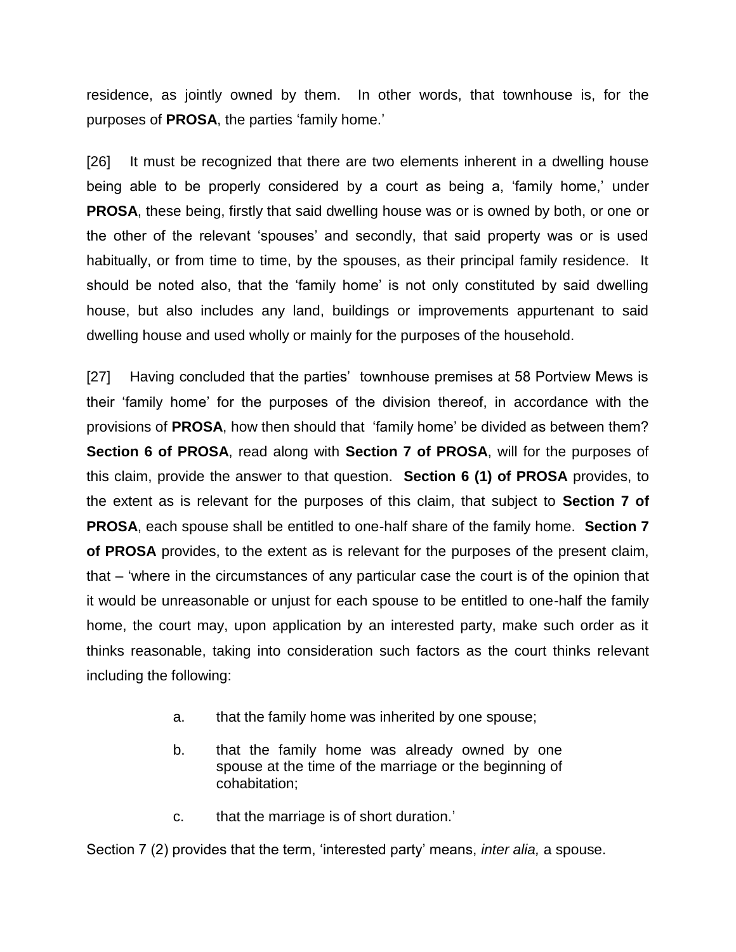residence, as jointly owned by them. In other words, that townhouse is, for the purposes of **PROSA**, the parties 'family home.'

[26] It must be recognized that there are two elements inherent in a dwelling house being able to be properly considered by a court as being a, 'family home,' under **PROSA**, these being, firstly that said dwelling house was or is owned by both, or one or the other of the relevant 'spouses' and secondly, that said property was or is used habitually, or from time to time, by the spouses, as their principal family residence. It should be noted also, that the 'family home' is not only constituted by said dwelling house, but also includes any land, buildings or improvements appurtenant to said dwelling house and used wholly or mainly for the purposes of the household.

[27] Having concluded that the parties' townhouse premises at 58 Portview Mews is their 'family home' for the purposes of the division thereof, in accordance with the provisions of **PROSA**, how then should that 'family home' be divided as between them? **Section 6 of PROSA**, read along with **Section 7 of PROSA**, will for the purposes of this claim, provide the answer to that question. **Section 6 (1) of PROSA** provides, to the extent as is relevant for the purposes of this claim, that subject to **Section 7 of PROSA**, each spouse shall be entitled to one-half share of the family home. **Section 7 of PROSA** provides, to the extent as is relevant for the purposes of the present claim, that – 'where in the circumstances of any particular case the court is of the opinion that it would be unreasonable or unjust for each spouse to be entitled to one-half the family home, the court may, upon application by an interested party, make such order as it thinks reasonable, taking into consideration such factors as the court thinks relevant including the following:

- a. that the family home was inherited by one spouse;
- b. that the family home was already owned by one spouse at the time of the marriage or the beginning of cohabitation;
- c. that the marriage is of short duration.'

Section 7 (2) provides that the term, 'interested party' means, *inter alia,* a spouse.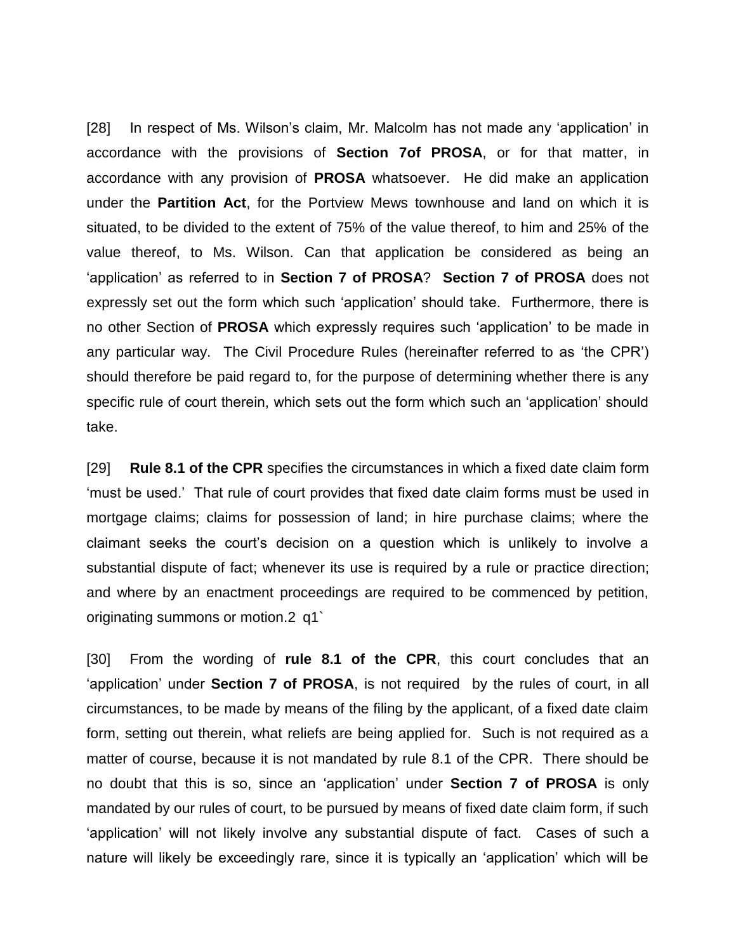[28] In respect of Ms. Wilson's claim, Mr. Malcolm has not made any 'application' in accordance with the provisions of **Section 7of PROSA**, or for that matter, in accordance with any provision of **PROSA** whatsoever. He did make an application under the **Partition Act**, for the Portview Mews townhouse and land on which it is situated, to be divided to the extent of 75% of the value thereof, to him and 25% of the value thereof, to Ms. Wilson. Can that application be considered as being an 'application' as referred to in **Section 7 of PROSA**? **Section 7 of PROSA** does not expressly set out the form which such 'application' should take. Furthermore, there is no other Section of **PROSA** which expressly requires such 'application' to be made in any particular way. The Civil Procedure Rules (hereinafter referred to as 'the CPR') should therefore be paid regard to, for the purpose of determining whether there is any specific rule of court therein, which sets out the form which such an 'application' should take.

[29] **Rule 8.1 of the CPR** specifies the circumstances in which a fixed date claim form 'must be used.' That rule of court provides that fixed date claim forms must be used in mortgage claims; claims for possession of land; in hire purchase claims; where the claimant seeks the court's decision on a question which is unlikely to involve a substantial dispute of fact; whenever its use is required by a rule or practice direction; and where by an enactment proceedings are required to be commenced by petition, originating summons or motion.2 q1`

[30] From the wording of **rule 8.1 of the CPR**, this court concludes that an 'application' under **Section 7 of PROSA**, is not required by the rules of court, in all circumstances, to be made by means of the filing by the applicant, of a fixed date claim form, setting out therein, what reliefs are being applied for. Such is not required as a matter of course, because it is not mandated by rule 8.1 of the CPR. There should be no doubt that this is so, since an 'application' under **Section 7 of PROSA** is only mandated by our rules of court, to be pursued by means of fixed date claim form, if such 'application' will not likely involve any substantial dispute of fact. Cases of such a nature will likely be exceedingly rare, since it is typically an 'application' which will be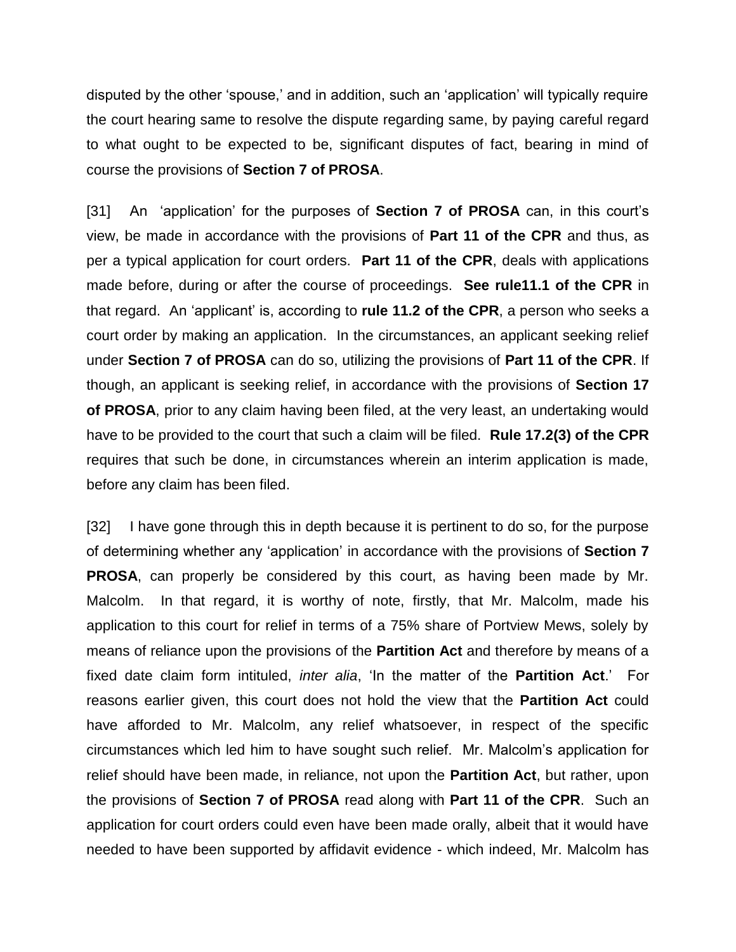disputed by the other 'spouse,' and in addition, such an 'application' will typically require the court hearing same to resolve the dispute regarding same, by paying careful regard to what ought to be expected to be, significant disputes of fact, bearing in mind of course the provisions of **Section 7 of PROSA**.

[31] An 'application' for the purposes of **Section 7 of PROSA** can, in this court's view, be made in accordance with the provisions of **Part 11 of the CPR** and thus, as per a typical application for court orders. **Part 11 of the CPR**, deals with applications made before, during or after the course of proceedings. **See rule11.1 of the CPR** in that regard. An 'applicant' is, according to **rule 11.2 of the CPR**, a person who seeks a court order by making an application. In the circumstances, an applicant seeking relief under **Section 7 of PROSA** can do so, utilizing the provisions of **Part 11 of the CPR**. If though, an applicant is seeking relief, in accordance with the provisions of **Section 17 of PROSA**, prior to any claim having been filed, at the very least, an undertaking would have to be provided to the court that such a claim will be filed. **Rule 17.2(3) of the CPR** requires that such be done, in circumstances wherein an interim application is made, before any claim has been filed.

[32] I have gone through this in depth because it is pertinent to do so, for the purpose of determining whether any 'application' in accordance with the provisions of **Section 7 PROSA**, can properly be considered by this court, as having been made by Mr. Malcolm. In that regard, it is worthy of note, firstly, that Mr. Malcolm, made his application to this court for relief in terms of a 75% share of Portview Mews, solely by means of reliance upon the provisions of the **Partition Act** and therefore by means of a fixed date claim form intituled, *inter alia*, 'In the matter of the **Partition Act**.' For reasons earlier given, this court does not hold the view that the **Partition Act** could have afforded to Mr. Malcolm, any relief whatsoever, in respect of the specific circumstances which led him to have sought such relief. Mr. Malcolm's application for relief should have been made, in reliance, not upon the **Partition Act**, but rather, upon the provisions of **Section 7 of PROSA** read along with **Part 11 of the CPR**. Such an application for court orders could even have been made orally, albeit that it would have needed to have been supported by affidavit evidence - which indeed, Mr. Malcolm has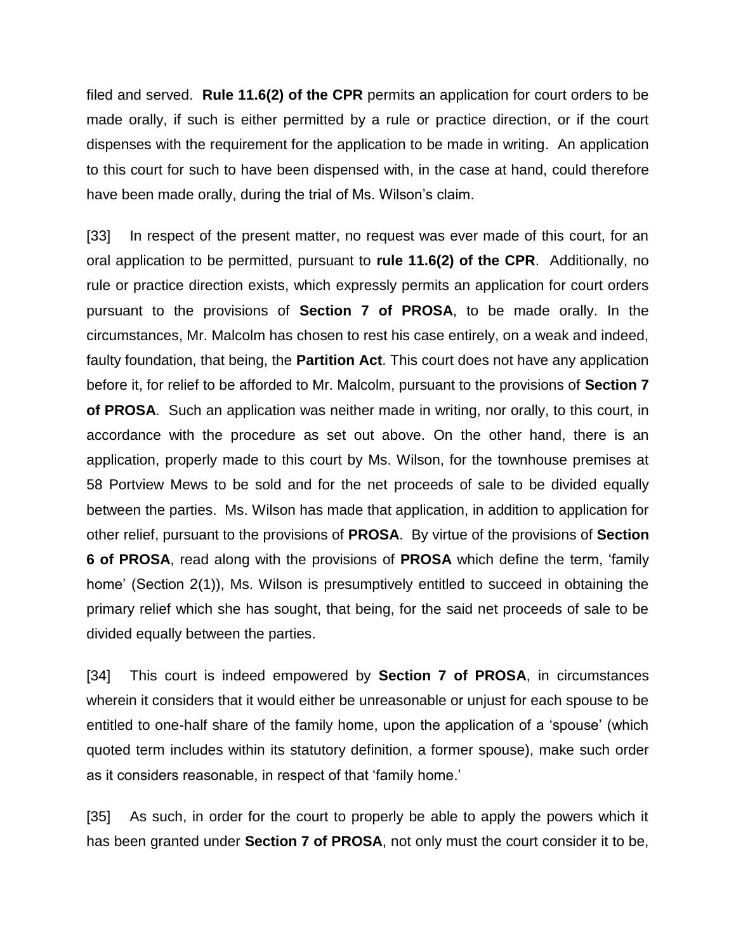filed and served. **Rule 11.6(2) of the CPR** permits an application for court orders to be made orally, if such is either permitted by a rule or practice direction, or if the court dispenses with the requirement for the application to be made in writing. An application to this court for such to have been dispensed with, in the case at hand, could therefore have been made orally, during the trial of Ms. Wilson's claim.

[33] In respect of the present matter, no request was ever made of this court, for an oral application to be permitted, pursuant to **rule 11.6(2) of the CPR**. Additionally, no rule or practice direction exists, which expressly permits an application for court orders pursuant to the provisions of **Section 7 of PROSA**, to be made orally. In the circumstances, Mr. Malcolm has chosen to rest his case entirely, on a weak and indeed, faulty foundation, that being, the **Partition Act**. This court does not have any application before it, for relief to be afforded to Mr. Malcolm, pursuant to the provisions of **Section 7 of PROSA**. Such an application was neither made in writing, nor orally, to this court, in accordance with the procedure as set out above. On the other hand, there is an application, properly made to this court by Ms. Wilson, for the townhouse premises at 58 Portview Mews to be sold and for the net proceeds of sale to be divided equally between the parties. Ms. Wilson has made that application, in addition to application for other relief, pursuant to the provisions of **PROSA**. By virtue of the provisions of **Section 6 of PROSA**, read along with the provisions of **PROSA** which define the term, 'family home' (Section 2(1)), Ms. Wilson is presumptively entitled to succeed in obtaining the primary relief which she has sought, that being, for the said net proceeds of sale to be divided equally between the parties.

[34] This court is indeed empowered by **Section 7 of PROSA**, in circumstances wherein it considers that it would either be unreasonable or unjust for each spouse to be entitled to one-half share of the family home, upon the application of a 'spouse' (which quoted term includes within its statutory definition, a former spouse), make such order as it considers reasonable, in respect of that 'family home.'

[35] As such, in order for the court to properly be able to apply the powers which it has been granted under **Section 7 of PROSA**, not only must the court consider it to be,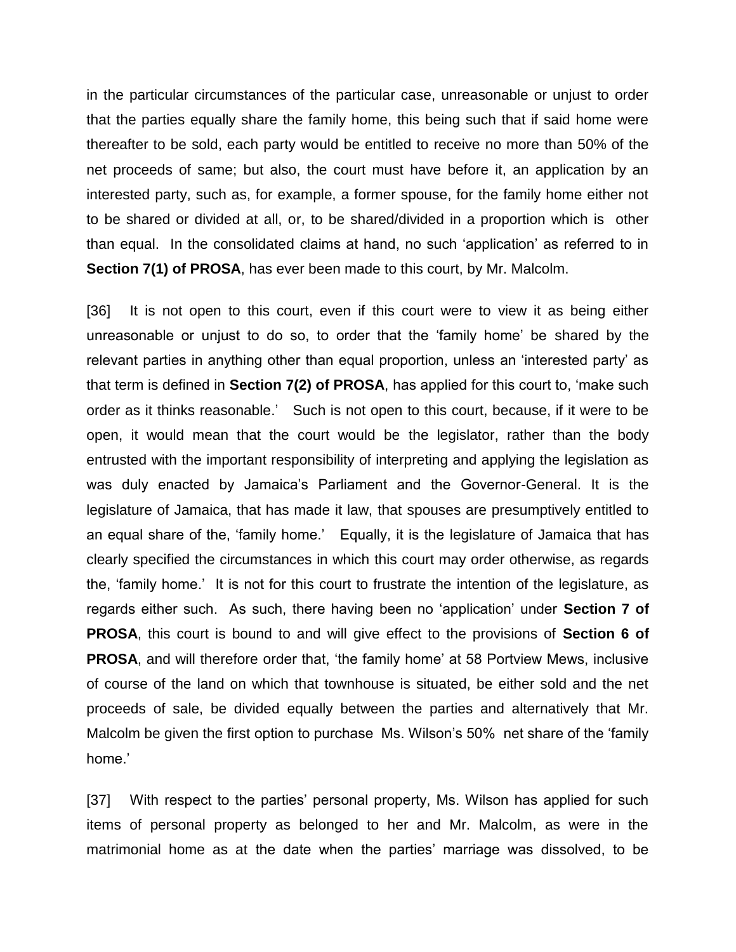in the particular circumstances of the particular case, unreasonable or unjust to order that the parties equally share the family home, this being such that if said home were thereafter to be sold, each party would be entitled to receive no more than 50% of the net proceeds of same; but also, the court must have before it, an application by an interested party, such as, for example, a former spouse, for the family home either not to be shared or divided at all, or, to be shared/divided in a proportion which is other than equal. In the consolidated claims at hand, no such 'application' as referred to in **Section 7(1) of PROSA**, has ever been made to this court, by Mr. Malcolm.

[36] It is not open to this court, even if this court were to view it as being either unreasonable or unjust to do so, to order that the 'family home' be shared by the relevant parties in anything other than equal proportion, unless an 'interested party' as that term is defined in **Section 7(2) of PROSA**, has applied for this court to, 'make such order as it thinks reasonable.' Such is not open to this court, because, if it were to be open, it would mean that the court would be the legislator, rather than the body entrusted with the important responsibility of interpreting and applying the legislation as was duly enacted by Jamaica's Parliament and the Governor-General. It is the legislature of Jamaica, that has made it law, that spouses are presumptively entitled to an equal share of the, 'family home.' Equally, it is the legislature of Jamaica that has clearly specified the circumstances in which this court may order otherwise, as regards the, 'family home.' It is not for this court to frustrate the intention of the legislature, as regards either such. As such, there having been no 'application' under **Section 7 of PROSA**, this court is bound to and will give effect to the provisions of **Section 6 of PROSA**, and will therefore order that, 'the family home' at 58 Portview Mews, inclusive of course of the land on which that townhouse is situated, be either sold and the net proceeds of sale, be divided equally between the parties and alternatively that Mr. Malcolm be given the first option to purchase Ms. Wilson's 50% net share of the 'family home.'

[37] With respect to the parties' personal property, Ms. Wilson has applied for such items of personal property as belonged to her and Mr. Malcolm, as were in the matrimonial home as at the date when the parties' marriage was dissolved, to be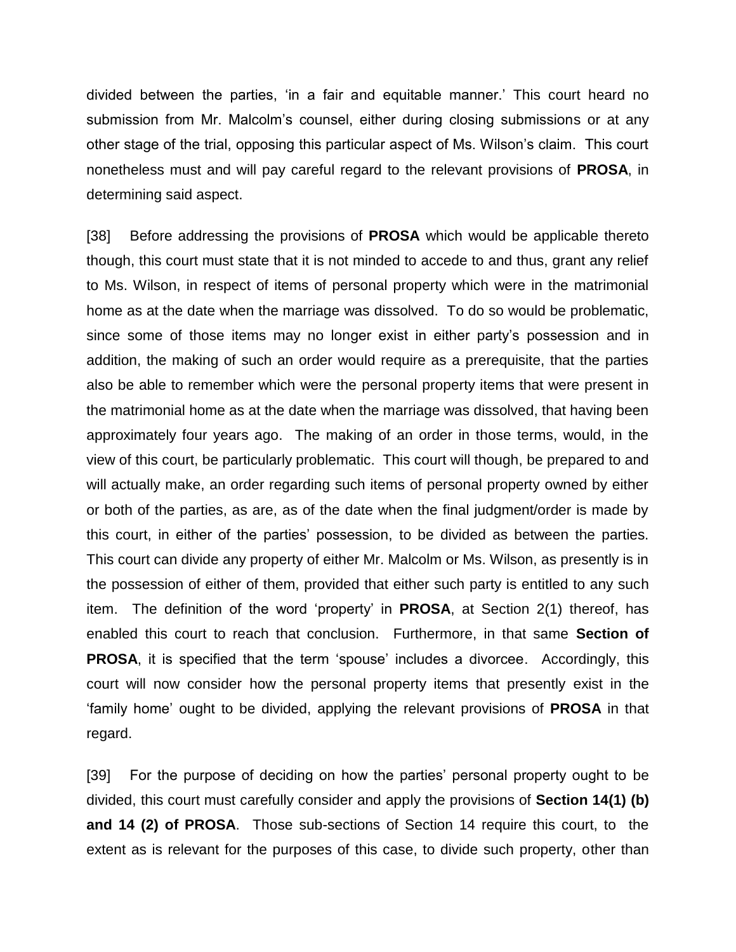divided between the parties, 'in a fair and equitable manner.' This court heard no submission from Mr. Malcolm's counsel, either during closing submissions or at any other stage of the trial, opposing this particular aspect of Ms. Wilson's claim. This court nonetheless must and will pay careful regard to the relevant provisions of **PROSA**, in determining said aspect.

[38] Before addressing the provisions of **PROSA** which would be applicable thereto though, this court must state that it is not minded to accede to and thus, grant any relief to Ms. Wilson, in respect of items of personal property which were in the matrimonial home as at the date when the marriage was dissolved. To do so would be problematic, since some of those items may no longer exist in either party's possession and in addition, the making of such an order would require as a prerequisite, that the parties also be able to remember which were the personal property items that were present in the matrimonial home as at the date when the marriage was dissolved, that having been approximately four years ago. The making of an order in those terms, would, in the view of this court, be particularly problematic. This court will though, be prepared to and will actually make, an order regarding such items of personal property owned by either or both of the parties, as are, as of the date when the final judgment/order is made by this court, in either of the parties' possession, to be divided as between the parties. This court can divide any property of either Mr. Malcolm or Ms. Wilson, as presently is in the possession of either of them, provided that either such party is entitled to any such item. The definition of the word 'property' in **PROSA**, at Section 2(1) thereof, has enabled this court to reach that conclusion. Furthermore, in that same **Section of PROSA**, it is specified that the term 'spouse' includes a divorcee. Accordingly, this court will now consider how the personal property items that presently exist in the 'family home' ought to be divided, applying the relevant provisions of **PROSA** in that regard.

[39] For the purpose of deciding on how the parties' personal property ought to be divided, this court must carefully consider and apply the provisions of **Section 14(1) (b) and 14 (2) of PROSA**. Those sub-sections of Section 14 require this court, to the extent as is relevant for the purposes of this case, to divide such property, other than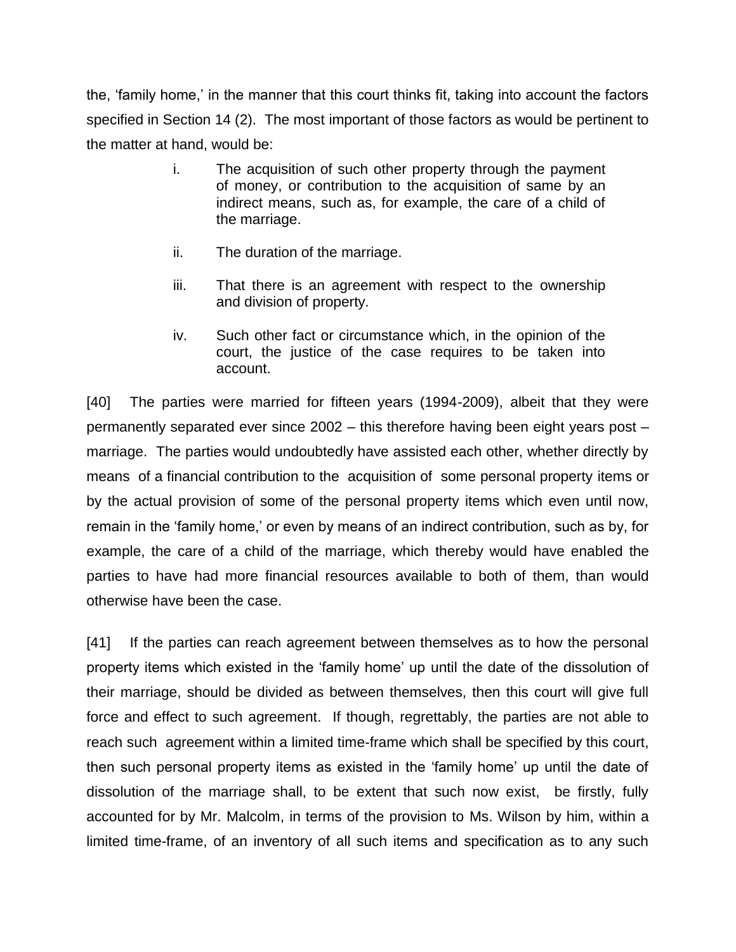the, 'family home,' in the manner that this court thinks fit, taking into account the factors specified in Section 14 (2). The most important of those factors as would be pertinent to the matter at hand, would be:

- i. The acquisition of such other property through the payment of money, or contribution to the acquisition of same by an indirect means, such as, for example, the care of a child of the marriage.
- ii. The duration of the marriage.
- iii. That there is an agreement with respect to the ownership and division of property.
- iv. Such other fact or circumstance which, in the opinion of the court, the justice of the case requires to be taken into account.

[40] The parties were married for fifteen years (1994-2009), albeit that they were permanently separated ever since 2002 – this therefore having been eight years post – marriage. The parties would undoubtedly have assisted each other, whether directly by means of a financial contribution to the acquisition of some personal property items or by the actual provision of some of the personal property items which even until now, remain in the 'family home,' or even by means of an indirect contribution, such as by, for example, the care of a child of the marriage, which thereby would have enabled the parties to have had more financial resources available to both of them, than would otherwise have been the case.

[41] If the parties can reach agreement between themselves as to how the personal property items which existed in the 'family home' up until the date of the dissolution of their marriage, should be divided as between themselves, then this court will give full force and effect to such agreement. If though, regrettably, the parties are not able to reach such agreement within a limited time-frame which shall be specified by this court, then such personal property items as existed in the 'family home' up until the date of dissolution of the marriage shall, to be extent that such now exist, be firstly, fully accounted for by Mr. Malcolm, in terms of the provision to Ms. Wilson by him, within a limited time-frame, of an inventory of all such items and specification as to any such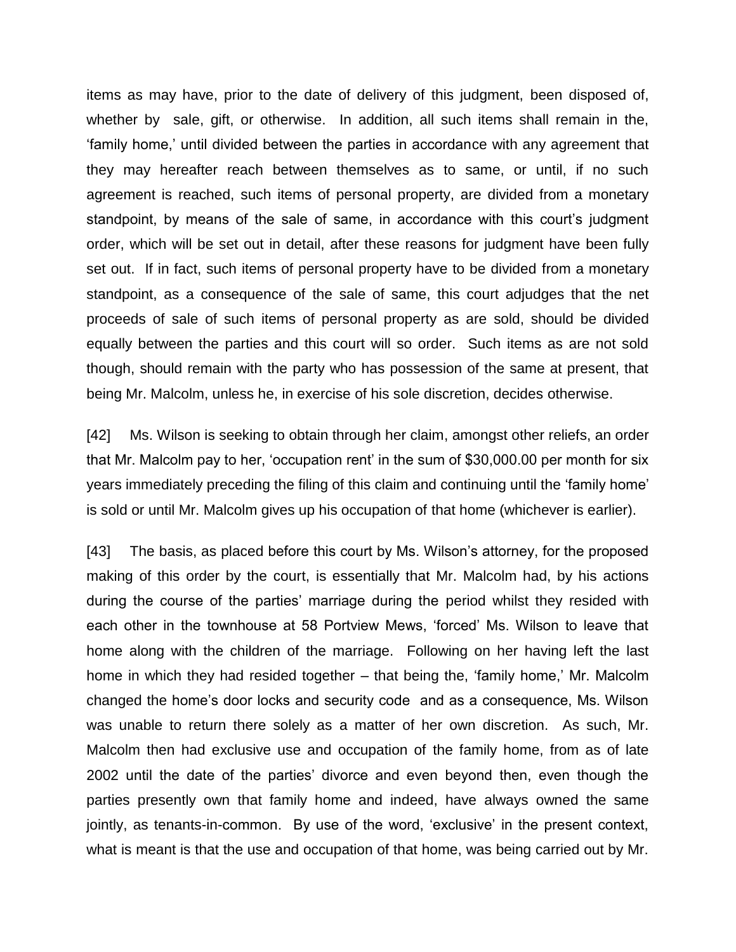items as may have, prior to the date of delivery of this judgment, been disposed of, whether by sale, gift, or otherwise. In addition, all such items shall remain in the, 'family home,' until divided between the parties in accordance with any agreement that they may hereafter reach between themselves as to same, or until, if no such agreement is reached, such items of personal property, are divided from a monetary standpoint, by means of the sale of same, in accordance with this court's judgment order, which will be set out in detail, after these reasons for judgment have been fully set out. If in fact, such items of personal property have to be divided from a monetary standpoint, as a consequence of the sale of same, this court adjudges that the net proceeds of sale of such items of personal property as are sold, should be divided equally between the parties and this court will so order. Such items as are not sold though, should remain with the party who has possession of the same at present, that being Mr. Malcolm, unless he, in exercise of his sole discretion, decides otherwise.

[42] Ms. Wilson is seeking to obtain through her claim, amongst other reliefs, an order that Mr. Malcolm pay to her, 'occupation rent' in the sum of \$30,000.00 per month for six years immediately preceding the filing of this claim and continuing until the 'family home' is sold or until Mr. Malcolm gives up his occupation of that home (whichever is earlier).

[43] The basis, as placed before this court by Ms. Wilson's attorney, for the proposed making of this order by the court, is essentially that Mr. Malcolm had, by his actions during the course of the parties' marriage during the period whilst they resided with each other in the townhouse at 58 Portview Mews, 'forced' Ms. Wilson to leave that home along with the children of the marriage. Following on her having left the last home in which they had resided together – that being the, 'family home,' Mr. Malcolm changed the home's door locks and security code and as a consequence, Ms. Wilson was unable to return there solely as a matter of her own discretion. As such, Mr. Malcolm then had exclusive use and occupation of the family home, from as of late 2002 until the date of the parties' divorce and even beyond then, even though the parties presently own that family home and indeed, have always owned the same jointly, as tenants-in-common. By use of the word, 'exclusive' in the present context, what is meant is that the use and occupation of that home, was being carried out by Mr.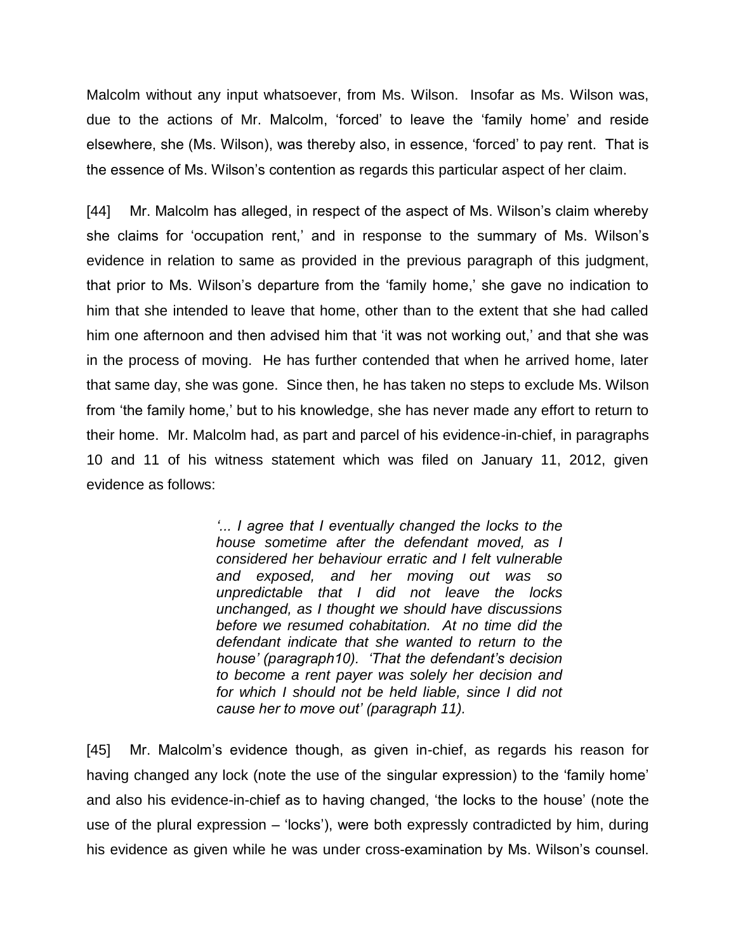Malcolm without any input whatsoever, from Ms. Wilson. Insofar as Ms. Wilson was, due to the actions of Mr. Malcolm, 'forced' to leave the 'family home' and reside elsewhere, she (Ms. Wilson), was thereby also, in essence, 'forced' to pay rent. That is the essence of Ms. Wilson's contention as regards this particular aspect of her claim.

[44] Mr. Malcolm has alleged, in respect of the aspect of Ms. Wilson's claim whereby she claims for 'occupation rent,' and in response to the summary of Ms. Wilson's evidence in relation to same as provided in the previous paragraph of this judgment, that prior to Ms. Wilson's departure from the 'family home,' she gave no indication to him that she intended to leave that home, other than to the extent that she had called him one afternoon and then advised him that 'it was not working out,' and that she was in the process of moving. He has further contended that when he arrived home, later that same day, she was gone. Since then, he has taken no steps to exclude Ms. Wilson from 'the family home,' but to his knowledge, she has never made any effort to return to their home. Mr. Malcolm had, as part and parcel of his evidence-in-chief, in paragraphs 10 and 11 of his witness statement which was filed on January 11, 2012, given evidence as follows:

> *'... I agree that I eventually changed the locks to the house sometime after the defendant moved, as I considered her behaviour erratic and I felt vulnerable and exposed, and her moving out was so unpredictable that I did not leave the locks unchanged, as I thought we should have discussions before we resumed cohabitation. At no time did the defendant indicate that she wanted to return to the house' (paragraph10). 'That the defendant's decision to become a rent payer was solely her decision and for which I should not be held liable, since I did not cause her to move out' (paragraph 11).*

[45] Mr. Malcolm's evidence though, as given in-chief, as regards his reason for having changed any lock (note the use of the singular expression) to the 'family home' and also his evidence-in-chief as to having changed, 'the locks to the house' (note the use of the plural expression – 'locks'), were both expressly contradicted by him, during his evidence as given while he was under cross-examination by Ms. Wilson's counsel.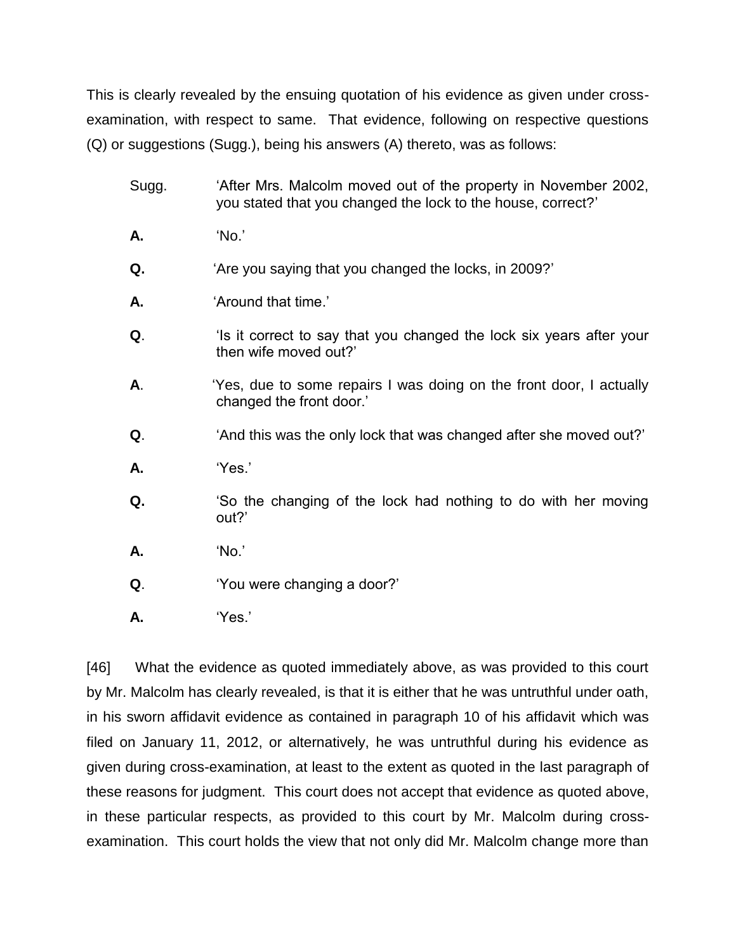This is clearly revealed by the ensuing quotation of his evidence as given under crossexamination, with respect to same. That evidence, following on respective questions (Q) or suggestions (Sugg.), being his answers (A) thereto, was as follows:

- Sugg. "After Mrs. Malcolm moved out of the property in November 2002, you stated that you changed the lock to the house, correct?'
- **A.** 'No.'
- **Q.** 'Are you saying that you changed the locks, in 2009?'
- **A.** 'Around that time.'
- **Q**. 'Is it correct to say that you changed the lock six years after your then wife moved out?'
- **A**. 'Yes, due to some repairs I was doing on the front door, I actually changed the front door.'
- **Q**. 'And this was the only lock that was changed after she moved out?'
- **A.** 'Yes.'
- **Q.** 'So the changing of the lock had nothing to do with her moving out?'
- **A.** 'No.'
- **Q**. 'You were changing a door?'
- **A.** 'Yes.'

[46] What the evidence as quoted immediately above, as was provided to this court by Mr. Malcolm has clearly revealed, is that it is either that he was untruthful under oath, in his sworn affidavit evidence as contained in paragraph 10 of his affidavit which was filed on January 11, 2012, or alternatively, he was untruthful during his evidence as given during cross-examination, at least to the extent as quoted in the last paragraph of these reasons for judgment. This court does not accept that evidence as quoted above, in these particular respects, as provided to this court by Mr. Malcolm during crossexamination. This court holds the view that not only did Mr. Malcolm change more than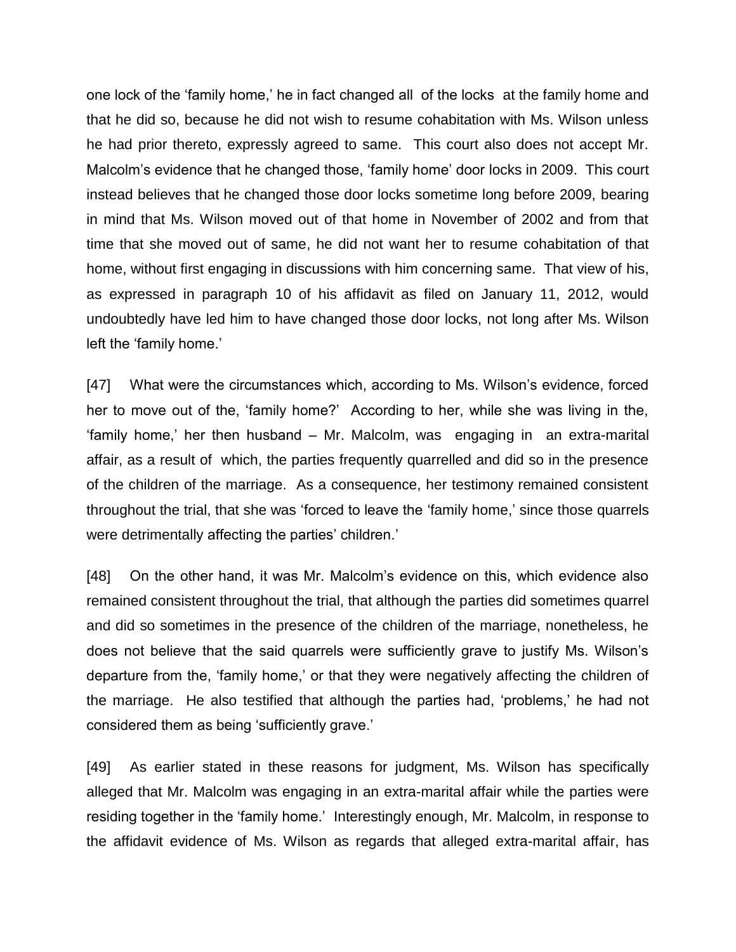one lock of the 'family home,' he in fact changed all of the locks at the family home and that he did so, because he did not wish to resume cohabitation with Ms. Wilson unless he had prior thereto, expressly agreed to same. This court also does not accept Mr. Malcolm's evidence that he changed those, 'family home' door locks in 2009. This court instead believes that he changed those door locks sometime long before 2009, bearing in mind that Ms. Wilson moved out of that home in November of 2002 and from that time that she moved out of same, he did not want her to resume cohabitation of that home, without first engaging in discussions with him concerning same. That view of his, as expressed in paragraph 10 of his affidavit as filed on January 11, 2012, would undoubtedly have led him to have changed those door locks, not long after Ms. Wilson left the 'family home.'

[47] What were the circumstances which, according to Ms. Wilson's evidence, forced her to move out of the, 'family home?' According to her, while she was living in the, 'family home,' her then husband – Mr. Malcolm, was engaging in an extra-marital affair, as a result of which, the parties frequently quarrelled and did so in the presence of the children of the marriage. As a consequence, her testimony remained consistent throughout the trial, that she was 'forced to leave the 'family home,' since those quarrels were detrimentally affecting the parties' children.'

[48] On the other hand, it was Mr. Malcolm's evidence on this, which evidence also remained consistent throughout the trial, that although the parties did sometimes quarrel and did so sometimes in the presence of the children of the marriage, nonetheless, he does not believe that the said quarrels were sufficiently grave to justify Ms. Wilson's departure from the, 'family home,' or that they were negatively affecting the children of the marriage. He also testified that although the parties had, 'problems,' he had not considered them as being 'sufficiently grave.'

[49] As earlier stated in these reasons for judgment, Ms. Wilson has specifically alleged that Mr. Malcolm was engaging in an extra-marital affair while the parties were residing together in the 'family home.' Interestingly enough, Mr. Malcolm, in response to the affidavit evidence of Ms. Wilson as regards that alleged extra-marital affair, has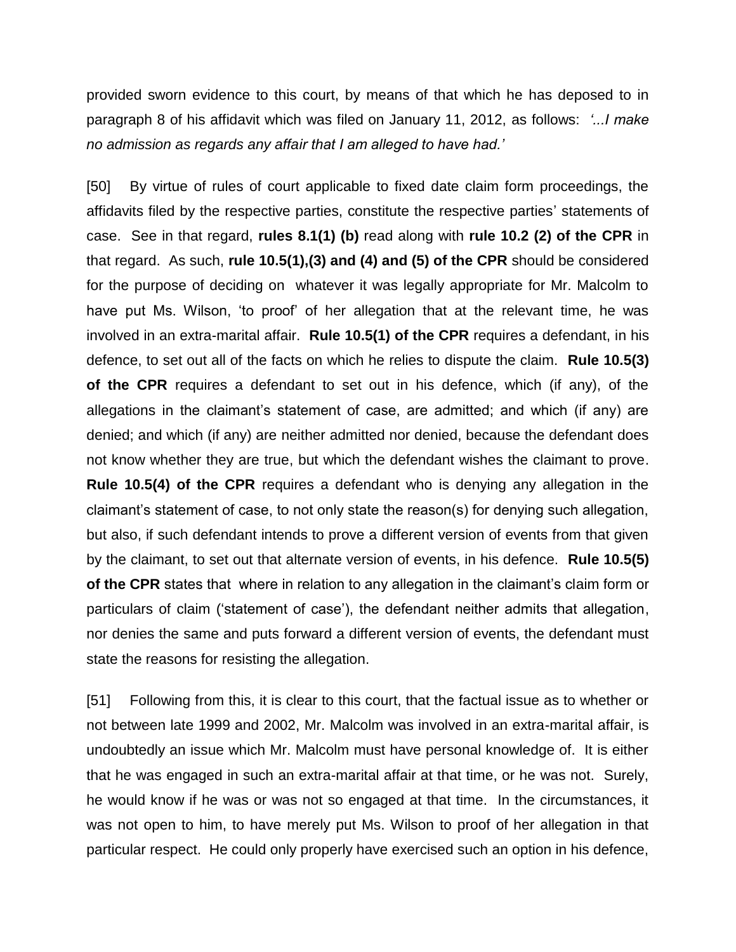provided sworn evidence to this court, by means of that which he has deposed to in paragraph 8 of his affidavit which was filed on January 11, 2012, as follows: *'...I make no admission as regards any affair that I am alleged to have had.'*

[50] By virtue of rules of court applicable to fixed date claim form proceedings, the affidavits filed by the respective parties, constitute the respective parties' statements of case. See in that regard, **rules 8.1(1) (b)** read along with **rule 10.2 (2) of the CPR** in that regard. As such, **rule 10.5(1),(3) and (4) and (5) of the CPR** should be considered for the purpose of deciding on whatever it was legally appropriate for Mr. Malcolm to have put Ms. Wilson, 'to proof' of her allegation that at the relevant time, he was involved in an extra-marital affair. **Rule 10.5(1) of the CPR** requires a defendant, in his defence, to set out all of the facts on which he relies to dispute the claim. **Rule 10.5(3) of the CPR** requires a defendant to set out in his defence, which (if any), of the allegations in the claimant's statement of case, are admitted; and which (if any) are denied; and which (if any) are neither admitted nor denied, because the defendant does not know whether they are true, but which the defendant wishes the claimant to prove. **Rule 10.5(4) of the CPR** requires a defendant who is denying any allegation in the claimant's statement of case, to not only state the reason(s) for denying such allegation, but also, if such defendant intends to prove a different version of events from that given by the claimant, to set out that alternate version of events, in his defence. **Rule 10.5(5) of the CPR** states that where in relation to any allegation in the claimant's claim form or particulars of claim ('statement of case'), the defendant neither admits that allegation, nor denies the same and puts forward a different version of events, the defendant must state the reasons for resisting the allegation.

[51] Following from this, it is clear to this court, that the factual issue as to whether or not between late 1999 and 2002, Mr. Malcolm was involved in an extra-marital affair, is undoubtedly an issue which Mr. Malcolm must have personal knowledge of. It is either that he was engaged in such an extra-marital affair at that time, or he was not. Surely, he would know if he was or was not so engaged at that time. In the circumstances, it was not open to him, to have merely put Ms. Wilson to proof of her allegation in that particular respect. He could only properly have exercised such an option in his defence,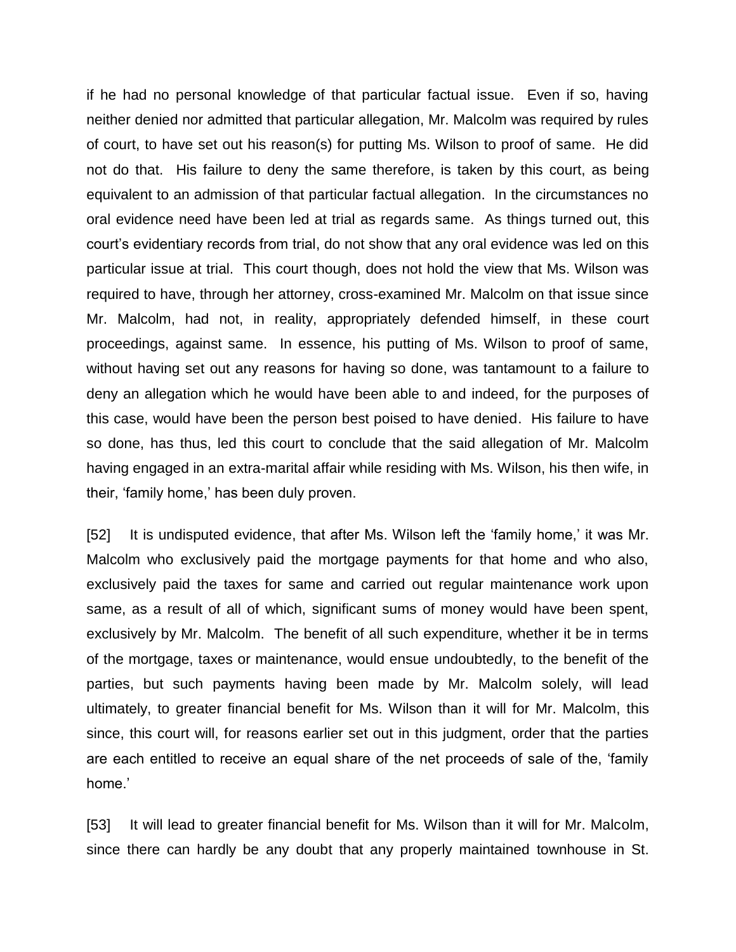if he had no personal knowledge of that particular factual issue. Even if so, having neither denied nor admitted that particular allegation, Mr. Malcolm was required by rules of court, to have set out his reason(s) for putting Ms. Wilson to proof of same. He did not do that. His failure to deny the same therefore, is taken by this court, as being equivalent to an admission of that particular factual allegation. In the circumstances no oral evidence need have been led at trial as regards same. As things turned out, this court's evidentiary records from trial, do not show that any oral evidence was led on this particular issue at trial. This court though, does not hold the view that Ms. Wilson was required to have, through her attorney, cross-examined Mr. Malcolm on that issue since Mr. Malcolm, had not, in reality, appropriately defended himself, in these court proceedings, against same. In essence, his putting of Ms. Wilson to proof of same, without having set out any reasons for having so done, was tantamount to a failure to deny an allegation which he would have been able to and indeed, for the purposes of this case, would have been the person best poised to have denied. His failure to have so done, has thus, led this court to conclude that the said allegation of Mr. Malcolm having engaged in an extra-marital affair while residing with Ms. Wilson, his then wife, in their, 'family home,' has been duly proven.

[52] It is undisputed evidence, that after Ms. Wilson left the 'family home,' it was Mr. Malcolm who exclusively paid the mortgage payments for that home and who also, exclusively paid the taxes for same and carried out regular maintenance work upon same, as a result of all of which, significant sums of money would have been spent, exclusively by Mr. Malcolm. The benefit of all such expenditure, whether it be in terms of the mortgage, taxes or maintenance, would ensue undoubtedly, to the benefit of the parties, but such payments having been made by Mr. Malcolm solely, will lead ultimately, to greater financial benefit for Ms. Wilson than it will for Mr. Malcolm, this since, this court will, for reasons earlier set out in this judgment, order that the parties are each entitled to receive an equal share of the net proceeds of sale of the, 'family home.'

[53] It will lead to greater financial benefit for Ms. Wilson than it will for Mr. Malcolm, since there can hardly be any doubt that any properly maintained townhouse in St.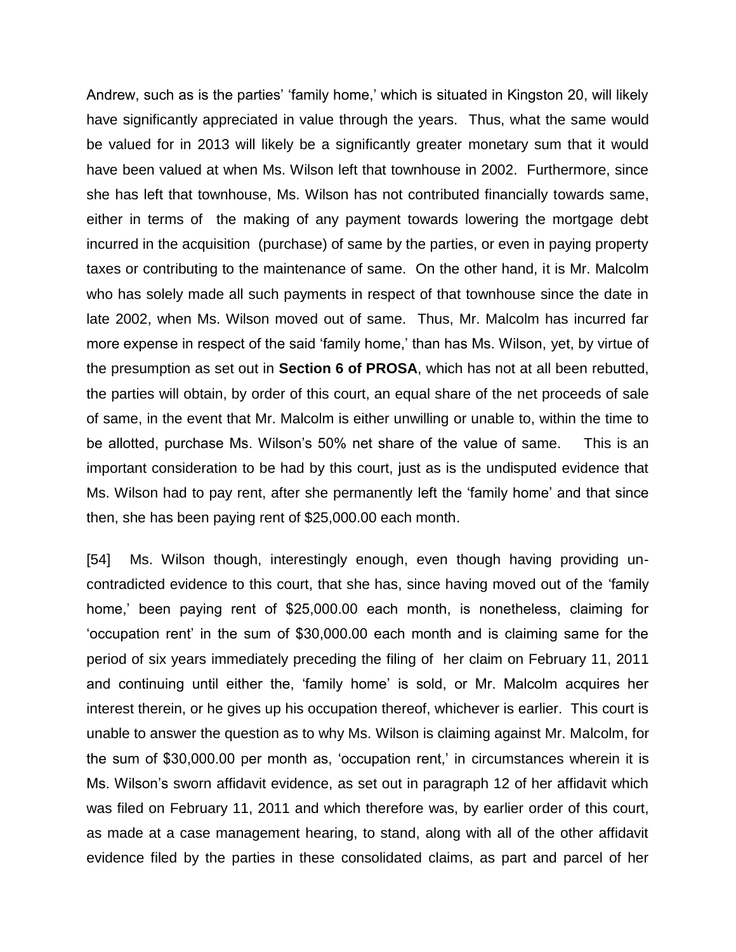Andrew, such as is the parties' 'family home,' which is situated in Kingston 20, will likely have significantly appreciated in value through the years. Thus, what the same would be valued for in 2013 will likely be a significantly greater monetary sum that it would have been valued at when Ms. Wilson left that townhouse in 2002. Furthermore, since she has left that townhouse, Ms. Wilson has not contributed financially towards same, either in terms of the making of any payment towards lowering the mortgage debt incurred in the acquisition (purchase) of same by the parties, or even in paying property taxes or contributing to the maintenance of same. On the other hand, it is Mr. Malcolm who has solely made all such payments in respect of that townhouse since the date in late 2002, when Ms. Wilson moved out of same. Thus, Mr. Malcolm has incurred far more expense in respect of the said 'family home,' than has Ms. Wilson, yet, by virtue of the presumption as set out in **Section 6 of PROSA**, which has not at all been rebutted, the parties will obtain, by order of this court, an equal share of the net proceeds of sale of same, in the event that Mr. Malcolm is either unwilling or unable to, within the time to be allotted, purchase Ms. Wilson's 50% net share of the value of same. This is an important consideration to be had by this court, just as is the undisputed evidence that Ms. Wilson had to pay rent, after she permanently left the 'family home' and that since then, she has been paying rent of \$25,000.00 each month.

[54] Ms. Wilson though, interestingly enough, even though having providing uncontradicted evidence to this court, that she has, since having moved out of the 'family home,' been paying rent of \$25,000.00 each month, is nonetheless, claiming for 'occupation rent' in the sum of \$30,000.00 each month and is claiming same for the period of six years immediately preceding the filing of her claim on February 11, 2011 and continuing until either the, 'family home' is sold, or Mr. Malcolm acquires her interest therein, or he gives up his occupation thereof, whichever is earlier. This court is unable to answer the question as to why Ms. Wilson is claiming against Mr. Malcolm, for the sum of \$30,000.00 per month as, 'occupation rent,' in circumstances wherein it is Ms. Wilson's sworn affidavit evidence, as set out in paragraph 12 of her affidavit which was filed on February 11, 2011 and which therefore was, by earlier order of this court, as made at a case management hearing, to stand, along with all of the other affidavit evidence filed by the parties in these consolidated claims, as part and parcel of her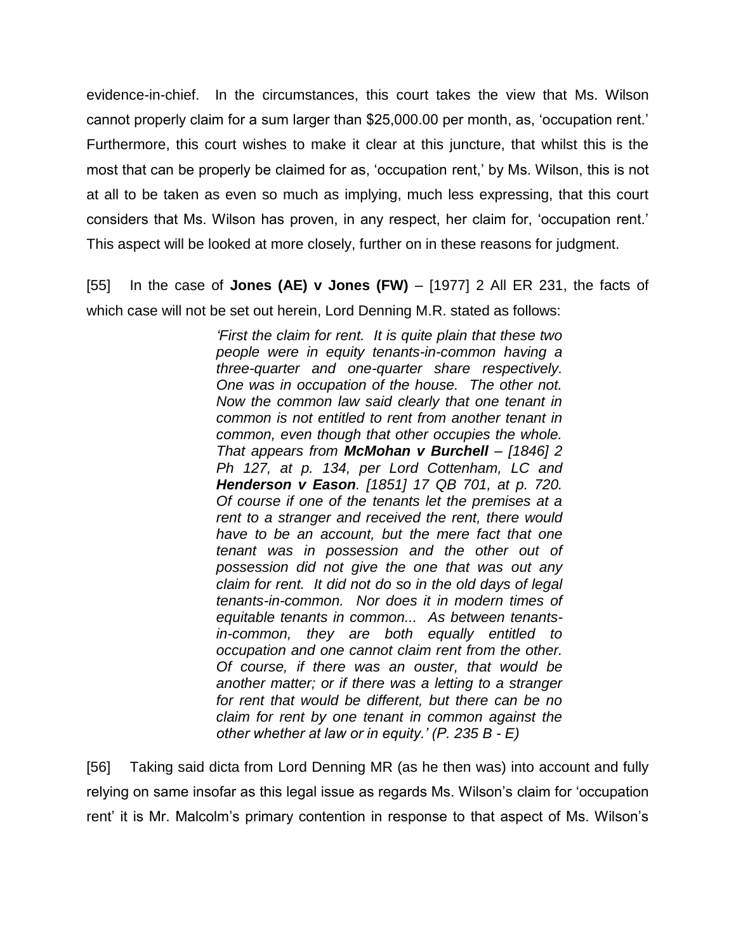evidence-in-chief. In the circumstances, this court takes the view that Ms. Wilson cannot properly claim for a sum larger than \$25,000.00 per month, as, 'occupation rent.' Furthermore, this court wishes to make it clear at this juncture, that whilst this is the most that can be properly be claimed for as, 'occupation rent,' by Ms. Wilson, this is not at all to be taken as even so much as implying, much less expressing, that this court considers that Ms. Wilson has proven, in any respect, her claim for, 'occupation rent.' This aspect will be looked at more closely, further on in these reasons for judgment.

[55] In the case of **Jones (AE) v Jones (FW)** – [1977] 2 All ER 231, the facts of which case will not be set out herein, Lord Denning M.R. stated as follows:

> *'First the claim for rent. It is quite plain that these two people were in equity tenants-in-common having a three-quarter and one-quarter share respectively. One was in occupation of the house. The other not. Now the common law said clearly that one tenant in common is not entitled to rent from another tenant in common, even though that other occupies the whole. That appears from McMohan v Burchell – [1846] 2 Ph 127, at p. 134, per Lord Cottenham, LC and Henderson v Eason. [1851] 17 QB 701, at p. 720. Of course if one of the tenants let the premises at a rent to a stranger and received the rent, there would have to be an account, but the mere fact that one tenant was in possession and the other out of possession did not give the one that was out any claim for rent. It did not do so in the old days of legal tenants-in-common. Nor does it in modern times of equitable tenants in common... As between tenantsin-common, they are both equally entitled to occupation and one cannot claim rent from the other. Of course, if there was an ouster, that would be another matter; or if there was a letting to a stranger for rent that would be different, but there can be no claim for rent by one tenant in common against the other whether at law or in equity.' (P. 235 B - E)*

[56] Taking said dicta from Lord Denning MR (as he then was) into account and fully relying on same insofar as this legal issue as regards Ms. Wilson's claim for 'occupation rent' it is Mr. Malcolm's primary contention in response to that aspect of Ms. Wilson's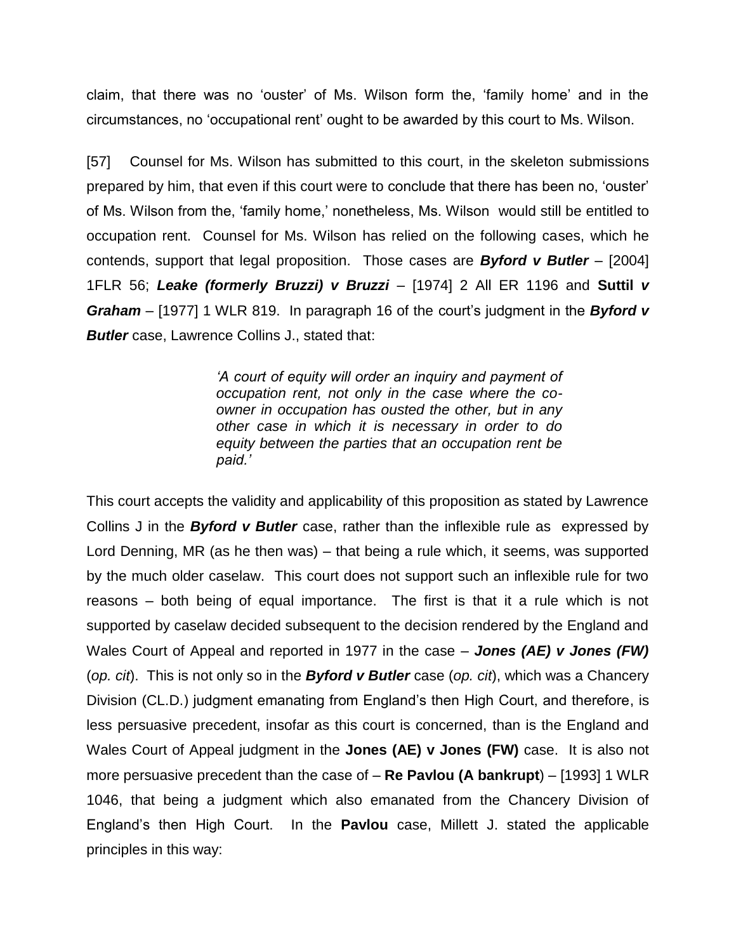claim, that there was no 'ouster' of Ms. Wilson form the, 'family home' and in the circumstances, no 'occupational rent' ought to be awarded by this court to Ms. Wilson.

[57] Counsel for Ms. Wilson has submitted to this court, in the skeleton submissions prepared by him, that even if this court were to conclude that there has been no, 'ouster' of Ms. Wilson from the, 'family home,' nonetheless, Ms. Wilson would still be entitled to occupation rent. Counsel for Ms. Wilson has relied on the following cases, which he contends, support that legal proposition. Those cases are *Byford v Butler* – [2004] 1FLR 56; *Leake (formerly Bruzzi) v Bruzzi* – [1974] 2 All ER 1196 and **Suttil** *v Graham* – [1977] 1 WLR 819. In paragraph 16 of the court's judgment in the *Byford v Butler* case, Lawrence Collins J., stated that:

> *'A court of equity will order an inquiry and payment of occupation rent, not only in the case where the coowner in occupation has ousted the other, but in any other case in which it is necessary in order to do equity between the parties that an occupation rent be paid.'*

This court accepts the validity and applicability of this proposition as stated by Lawrence Collins J in the *Byford v Butler* case, rather than the inflexible rule as expressed by Lord Denning, MR (as he then was) – that being a rule which, it seems, was supported by the much older caselaw. This court does not support such an inflexible rule for two reasons – both being of equal importance. The first is that it a rule which is not supported by caselaw decided subsequent to the decision rendered by the England and Wales Court of Appeal and reported in 1977 in the case – *Jones (AE) v Jones (FW)*  (*op. cit*).This is not only so in the *Byford v Butler* case (*op. cit*), which was a Chancery Division (CL.D.) judgment emanating from England's then High Court, and therefore, is less persuasive precedent, insofar as this court is concerned, than is the England and Wales Court of Appeal judgment in the **Jones (AE) v Jones (FW)** case. It is also not more persuasive precedent than the case of – **Re Pavlou (A bankrupt**) – [1993] 1 WLR 1046, that being a judgment which also emanated from the Chancery Division of England's then High Court. In the **Pavlou** case, Millett J. stated the applicable principles in this way: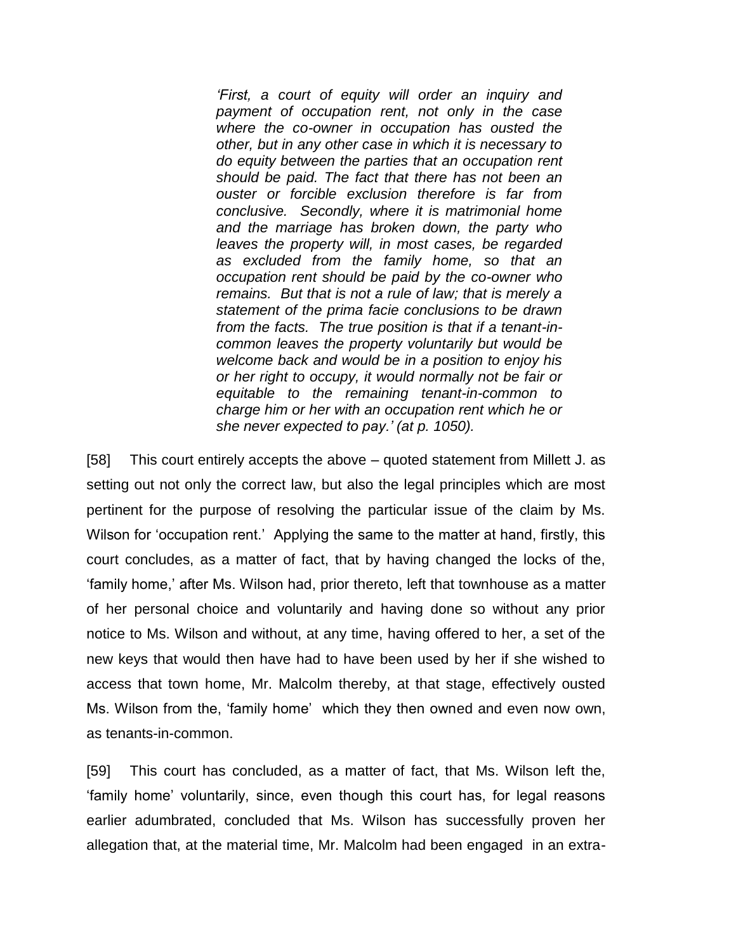*'First, a court of equity will order an inquiry and payment of occupation rent, not only in the case where the co-owner in occupation has ousted the other, but in any other case in which it is necessary to do equity between the parties that an occupation rent should be paid. The fact that there has not been an ouster or forcible exclusion therefore is far from conclusive. Secondly, where it is matrimonial home and the marriage has broken down, the party who leaves the property will, in most cases, be regarded as excluded from the family home, so that an occupation rent should be paid by the co-owner who remains. But that is not a rule of law; that is merely a statement of the prima facie conclusions to be drawn from the facts. The true position is that if a tenant-incommon leaves the property voluntarily but would be welcome back and would be in a position to enjoy his or her right to occupy, it would normally not be fair or equitable to the remaining tenant-in-common to charge him or her with an occupation rent which he or she never expected to pay.' (at p. 1050).*

[58] This court entirely accepts the above – quoted statement from Millett J. as setting out not only the correct law, but also the legal principles which are most pertinent for the purpose of resolving the particular issue of the claim by Ms. Wilson for 'occupation rent.' Applying the same to the matter at hand, firstly, this court concludes, as a matter of fact, that by having changed the locks of the, 'family home,' after Ms. Wilson had, prior thereto, left that townhouse as a matter of her personal choice and voluntarily and having done so without any prior notice to Ms. Wilson and without, at any time, having offered to her, a set of the new keys that would then have had to have been used by her if she wished to access that town home, Mr. Malcolm thereby, at that stage, effectively ousted Ms. Wilson from the, 'family home' which they then owned and even now own, as tenants-in-common.

[59] This court has concluded, as a matter of fact, that Ms. Wilson left the, 'family home' voluntarily, since, even though this court has, for legal reasons earlier adumbrated, concluded that Ms. Wilson has successfully proven her allegation that, at the material time, Mr. Malcolm had been engaged in an extra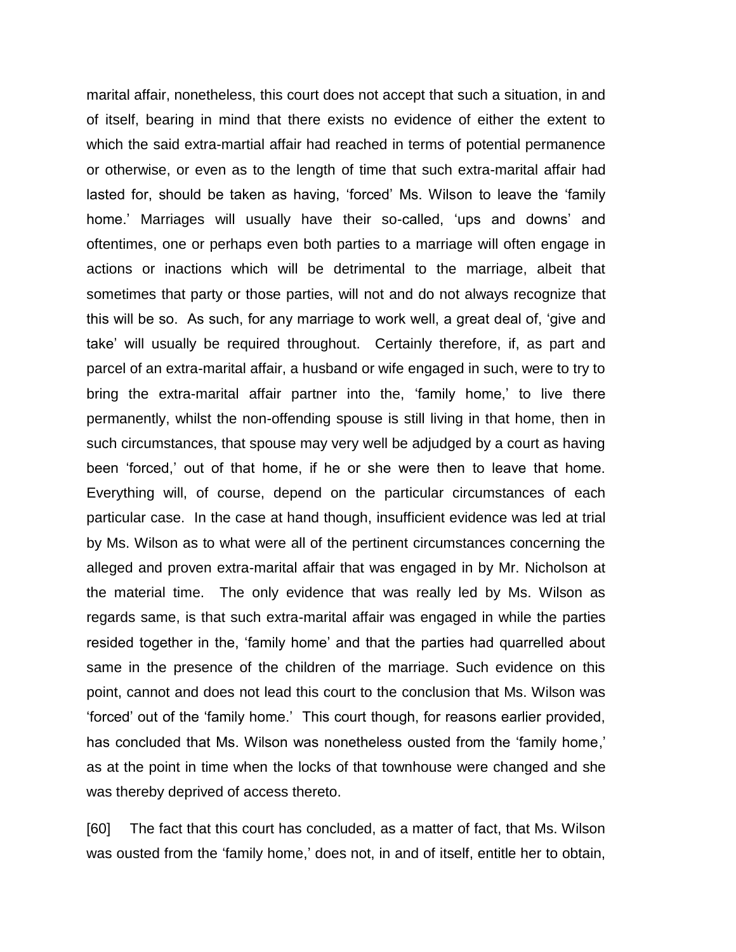marital affair, nonetheless, this court does not accept that such a situation, in and of itself, bearing in mind that there exists no evidence of either the extent to which the said extra-martial affair had reached in terms of potential permanence or otherwise, or even as to the length of time that such extra-marital affair had lasted for, should be taken as having, 'forced' Ms. Wilson to leave the 'family home.' Marriages will usually have their so-called, 'ups and downs' and oftentimes, one or perhaps even both parties to a marriage will often engage in actions or inactions which will be detrimental to the marriage, albeit that sometimes that party or those parties, will not and do not always recognize that this will be so. As such, for any marriage to work well, a great deal of, 'give and take' will usually be required throughout. Certainly therefore, if, as part and parcel of an extra-marital affair, a husband or wife engaged in such, were to try to bring the extra-marital affair partner into the, 'family home,' to live there permanently, whilst the non-offending spouse is still living in that home, then in such circumstances, that spouse may very well be adjudged by a court as having been 'forced,' out of that home, if he or she were then to leave that home. Everything will, of course, depend on the particular circumstances of each particular case. In the case at hand though, insufficient evidence was led at trial by Ms. Wilson as to what were all of the pertinent circumstances concerning the alleged and proven extra-marital affair that was engaged in by Mr. Nicholson at the material time. The only evidence that was really led by Ms. Wilson as regards same, is that such extra-marital affair was engaged in while the parties resided together in the, 'family home' and that the parties had quarrelled about same in the presence of the children of the marriage. Such evidence on this point, cannot and does not lead this court to the conclusion that Ms. Wilson was 'forced' out of the 'family home.' This court though, for reasons earlier provided, has concluded that Ms. Wilson was nonetheless ousted from the 'family home,' as at the point in time when the locks of that townhouse were changed and she was thereby deprived of access thereto.

[60] The fact that this court has concluded, as a matter of fact, that Ms. Wilson was ousted from the 'family home,' does not, in and of itself, entitle her to obtain,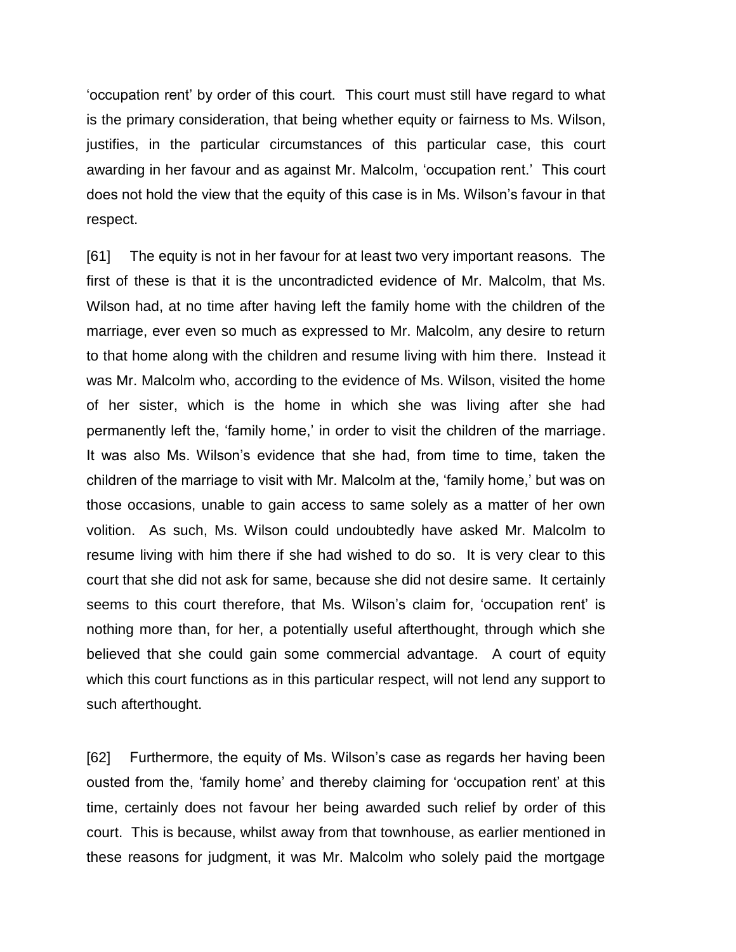'occupation rent' by order of this court. This court must still have regard to what is the primary consideration, that being whether equity or fairness to Ms. Wilson, justifies, in the particular circumstances of this particular case, this court awarding in her favour and as against Mr. Malcolm, 'occupation rent.' This court does not hold the view that the equity of this case is in Ms. Wilson's favour in that respect.

[61] The equity is not in her favour for at least two very important reasons. The first of these is that it is the uncontradicted evidence of Mr. Malcolm, that Ms. Wilson had, at no time after having left the family home with the children of the marriage, ever even so much as expressed to Mr. Malcolm, any desire to return to that home along with the children and resume living with him there. Instead it was Mr. Malcolm who, according to the evidence of Ms. Wilson, visited the home of her sister, which is the home in which she was living after she had permanently left the, 'family home,' in order to visit the children of the marriage. It was also Ms. Wilson's evidence that she had, from time to time, taken the children of the marriage to visit with Mr. Malcolm at the, 'family home,' but was on those occasions, unable to gain access to same solely as a matter of her own volition. As such, Ms. Wilson could undoubtedly have asked Mr. Malcolm to resume living with him there if she had wished to do so. It is very clear to this court that she did not ask for same, because she did not desire same. It certainly seems to this court therefore, that Ms. Wilson's claim for, 'occupation rent' is nothing more than, for her, a potentially useful afterthought, through which she believed that she could gain some commercial advantage. A court of equity which this court functions as in this particular respect, will not lend any support to such afterthought.

[62] Furthermore, the equity of Ms. Wilson's case as regards her having been ousted from the, 'family home' and thereby claiming for 'occupation rent' at this time, certainly does not favour her being awarded such relief by order of this court. This is because, whilst away from that townhouse, as earlier mentioned in these reasons for judgment, it was Mr. Malcolm who solely paid the mortgage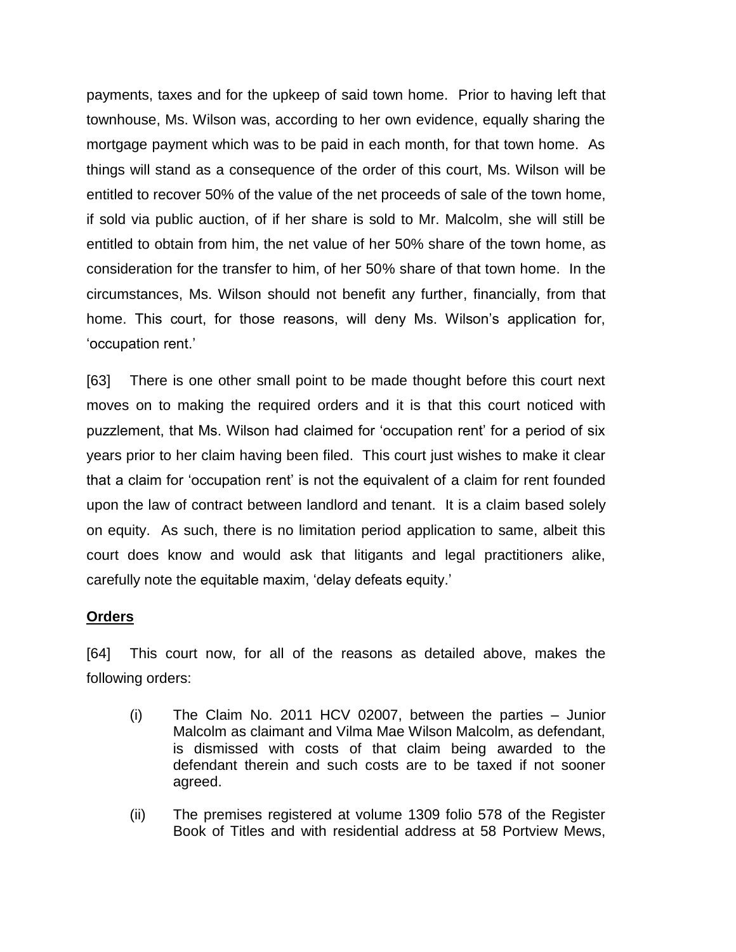payments, taxes and for the upkeep of said town home. Prior to having left that townhouse, Ms. Wilson was, according to her own evidence, equally sharing the mortgage payment which was to be paid in each month, for that town home. As things will stand as a consequence of the order of this court, Ms. Wilson will be entitled to recover 50% of the value of the net proceeds of sale of the town home, if sold via public auction, of if her share is sold to Mr. Malcolm, she will still be entitled to obtain from him, the net value of her 50% share of the town home, as consideration for the transfer to him, of her 50% share of that town home. In the circumstances, Ms. Wilson should not benefit any further, financially, from that home. This court, for those reasons, will deny Ms. Wilson's application for, 'occupation rent.'

[63] There is one other small point to be made thought before this court next moves on to making the required orders and it is that this court noticed with puzzlement, that Ms. Wilson had claimed for 'occupation rent' for a period of six years prior to her claim having been filed. This court just wishes to make it clear that a claim for 'occupation rent' is not the equivalent of a claim for rent founded upon the law of contract between landlord and tenant. It is a claim based solely on equity. As such, there is no limitation period application to same, albeit this court does know and would ask that litigants and legal practitioners alike, carefully note the equitable maxim, 'delay defeats equity.'

## **Orders**

[64] This court now, for all of the reasons as detailed above, makes the following orders:

- (i) The Claim No. 2011 HCV 02007, between the parties Junior Malcolm as claimant and Vilma Mae Wilson Malcolm, as defendant, is dismissed with costs of that claim being awarded to the defendant therein and such costs are to be taxed if not sooner agreed.
- (ii) The premises registered at volume 1309 folio 578 of the Register Book of Titles and with residential address at 58 Portview Mews,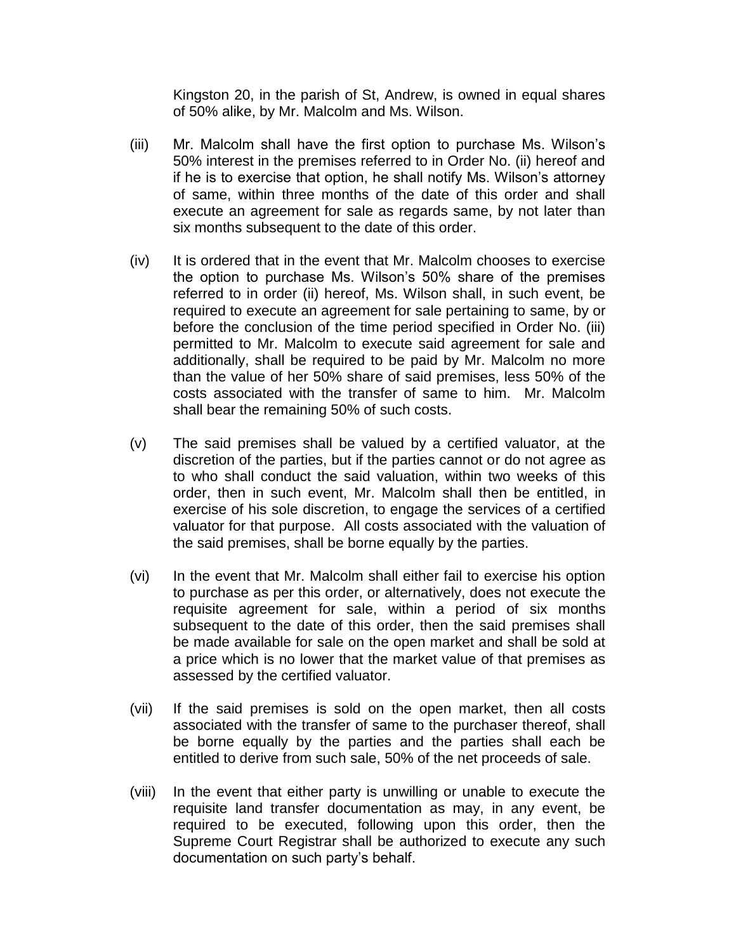Kingston 20, in the parish of St, Andrew, is owned in equal shares of 50% alike, by Mr. Malcolm and Ms. Wilson.

- (iii) Mr. Malcolm shall have the first option to purchase Ms. Wilson's 50% interest in the premises referred to in Order No. (ii) hereof and if he is to exercise that option, he shall notify Ms. Wilson's attorney of same, within three months of the date of this order and shall execute an agreement for sale as regards same, by not later than six months subsequent to the date of this order.
- (iv) It is ordered that in the event that Mr. Malcolm chooses to exercise the option to purchase Ms. Wilson's 50% share of the premises referred to in order (ii) hereof, Ms. Wilson shall, in such event, be required to execute an agreement for sale pertaining to same, by or before the conclusion of the time period specified in Order No. (iii) permitted to Mr. Malcolm to execute said agreement for sale and additionally, shall be required to be paid by Mr. Malcolm no more than the value of her 50% share of said premises, less 50% of the costs associated with the transfer of same to him. Mr. Malcolm shall bear the remaining 50% of such costs.
- (v) The said premises shall be valued by a certified valuator, at the discretion of the parties, but if the parties cannot or do not agree as to who shall conduct the said valuation, within two weeks of this order, then in such event, Mr. Malcolm shall then be entitled, in exercise of his sole discretion, to engage the services of a certified valuator for that purpose. All costs associated with the valuation of the said premises, shall be borne equally by the parties.
- (vi) In the event that Mr. Malcolm shall either fail to exercise his option to purchase as per this order, or alternatively, does not execute the requisite agreement for sale, within a period of six months subsequent to the date of this order, then the said premises shall be made available for sale on the open market and shall be sold at a price which is no lower that the market value of that premises as assessed by the certified valuator.
- (vii) If the said premises is sold on the open market, then all costs associated with the transfer of same to the purchaser thereof, shall be borne equally by the parties and the parties shall each be entitled to derive from such sale, 50% of the net proceeds of sale.
- (viii) In the event that either party is unwilling or unable to execute the requisite land transfer documentation as may, in any event, be required to be executed, following upon this order, then the Supreme Court Registrar shall be authorized to execute any such documentation on such party's behalf.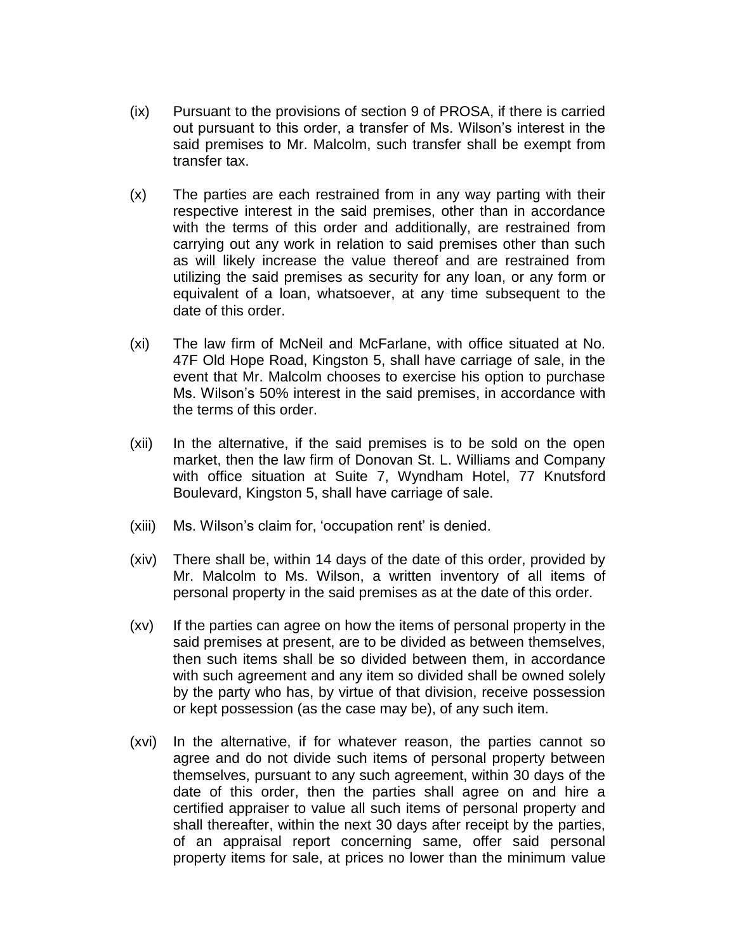- (ix) Pursuant to the provisions of section 9 of PROSA, if there is carried out pursuant to this order, a transfer of Ms. Wilson's interest in the said premises to Mr. Malcolm, such transfer shall be exempt from transfer tax.
- (x) The parties are each restrained from in any way parting with their respective interest in the said premises, other than in accordance with the terms of this order and additionally, are restrained from carrying out any work in relation to said premises other than such as will likely increase the value thereof and are restrained from utilizing the said premises as security for any loan, or any form or equivalent of a loan, whatsoever, at any time subsequent to the date of this order.
- (xi) The law firm of McNeil and McFarlane, with office situated at No. 47F Old Hope Road, Kingston 5, shall have carriage of sale, in the event that Mr. Malcolm chooses to exercise his option to purchase Ms. Wilson's 50% interest in the said premises, in accordance with the terms of this order.
- (xii) In the alternative, if the said premises is to be sold on the open market, then the law firm of Donovan St. L. Williams and Company with office situation at Suite 7, Wyndham Hotel, 77 Knutsford Boulevard, Kingston 5, shall have carriage of sale.
- (xiii) Ms. Wilson's claim for, 'occupation rent' is denied.
- (xiv) There shall be, within 14 days of the date of this order, provided by Mr. Malcolm to Ms. Wilson, a written inventory of all items of personal property in the said premises as at the date of this order.
- (xv) If the parties can agree on how the items of personal property in the said premises at present, are to be divided as between themselves, then such items shall be so divided between them, in accordance with such agreement and any item so divided shall be owned solely by the party who has, by virtue of that division, receive possession or kept possession (as the case may be), of any such item.
- (xvi) In the alternative, if for whatever reason, the parties cannot so agree and do not divide such items of personal property between themselves, pursuant to any such agreement, within 30 days of the date of this order, then the parties shall agree on and hire a certified appraiser to value all such items of personal property and shall thereafter, within the next 30 days after receipt by the parties, of an appraisal report concerning same, offer said personal property items for sale, at prices no lower than the minimum value